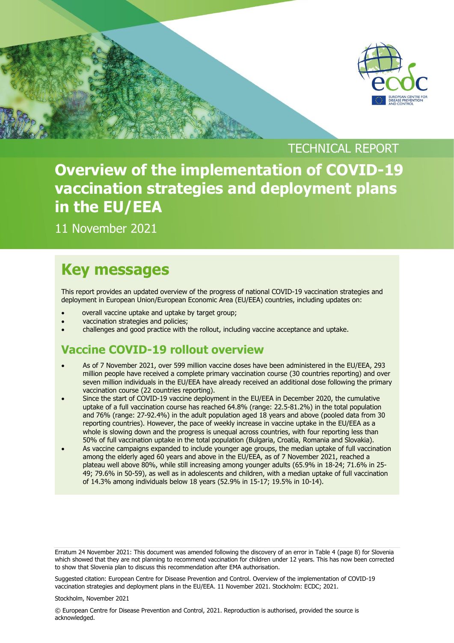

TECHNICAL REPORT **Overview of the implementation of COVID-19 vaccination strategies and deployment plans in the EU/EEA**

11 November 2021

[Type here]

## **Key messages**

This report provides an updated overview of the progress of national COVID-19 vaccination strategies and deployment in European Union/European Economic Area (EU/EEA) countries, including updates on:

- overall vaccine uptake and uptake by target group;
- vaccination strategies and policies;
- challenges and good practice with the rollout, including vaccine acceptance and uptake.

### **Vaccine COVID-19 rollout overview**

- As of 7 November 2021, over 599 million vaccine doses have been administered in the EU/EEA, 293 million people have received a complete primary vaccination course (30 countries reporting) and over seven million individuals in the EU/EEA have already received an additional dose following the primary vaccination course (22 countries reporting).
- Since the start of COVID-19 vaccine deployment in the EU/EEA in December 2020, the cumulative uptake of a full vaccination course has reached 64.8% (range: 22.5-81.2%) in the total population and 76% (range: 27-92.4%) in the adult population aged 18 years and above (pooled data from 30 reporting countries). However, the pace of weekly increase in vaccine uptake in the EU/EEA as a whole is slowing down and the progress is unequal across countries, with four reporting less than 50% of full vaccination uptake in the total population (Bulgaria, Croatia, Romania and Slovakia).
- As vaccine campaigns expanded to include younger age groups, the median uptake of full vaccination among the elderly aged 60 years and above in the EU/EEA, as of 7 November 2021, reached a plateau well above 80%, while still increasing among younger adults (65.9% in 18-24; 71.6% in 25- 49; 79.6% in 50-59), as well as in adolescents and children, with a median uptake of full vaccination of 14.3% among individuals below 18 years (52.9% in 15-17; 19.5% in 10-14).

Erratum 24 November 2021: This document was amended following the discovery of an error in Table 4 (page 8) for Slovenia which showed that they are not planning to recommend vaccination for children under 12 years. This has now been corrected to show that Slovenia plan to discuss this recommendation after EMA authorisation.

Suggested citation: European Centre for Disease Prevention and Control. Overview of the implementation of COVID-19 vaccination strategies and deployment plans in the EU/EEA. 11 November 2021. Stockholm: ECDC; 2021.

#### Stockholm, November 2021

© European Centre for Disease Prevention and Control, 2021. Reproduction is authorised, provided the source is acknowledged.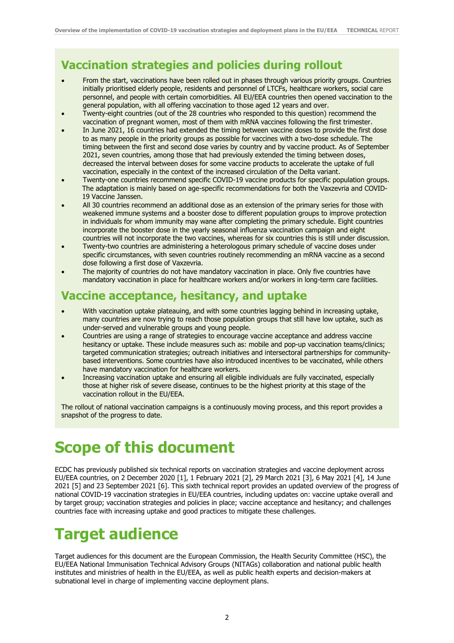### **Vaccination strategies and policies during rollout**

- From the start, vaccinations have been rolled out in phases through various priority groups. Countries initially prioritised elderly people, residents and personnel of LTCFs, healthcare workers, social care personnel, and people with certain comorbidities. All EU/EEA countries then opened vaccination to the general population, with all offering vaccination to those aged 12 years and over.
- Twenty-eight countries (out of the 28 countries who responded to this question) recommend the vaccination of pregnant women, most of them with mRNA vaccines following the first trimester.
- In June 2021, 16 countries had extended the timing between vaccine doses to provide the first dose to as many people in the priority groups as possible for vaccines with a two-dose schedule. The timing between the first and second dose varies by country and by vaccine product. As of September 2021, seven countries, among those that had previously extended the timing between doses, decreased the interval between doses for some vaccine products to accelerate the uptake of full vaccination, especially in the context of the increased circulation of the Delta variant.
- Twenty-one countries recommend specific COVID-19 vaccine products for specific population groups. The adaptation is mainly based on age-specific recommendations for both the Vaxzevria and COVID-19 Vaccine Janssen.
- All 30 countries recommend an additional dose as an extension of the primary series for those with weakened immune systems and a booster dose to different population groups to improve protection in individuals for whom immunity may wane after completing the primary schedule. Eight countries incorporate the booster dose in the yearly seasonal influenza vaccination campaign and eight countries will not incorporate the two vaccines, whereas for six countries this is still under discussion.
- Twenty-two countries are administering a heterologous primary schedule of vaccine doses under specific circumstances, with seven countries routinely recommending an mRNA vaccine as a second dose following a first dose of Vaxzevria.
- The majority of countries do not have mandatory vaccination in place. Only five countries have mandatory vaccination in place for healthcare workers and/or workers in long-term care facilities.

### **Vaccine acceptance, hesitancy, and uptake**

- With vaccination uptake plateauing, and with some countries lagging behind in increasing uptake, many countries are now trying to reach those population groups that still have low uptake, such as under-served and vulnerable groups and young people.
- Countries are using a range of strategies to encourage vaccine acceptance and address vaccine hesitancy or uptake. These include measures such as: mobile and pop-up vaccination teams/clinics; targeted communication strategies; outreach initiatives and intersectoral partnerships for communitybased interventions. Some countries have also introduced incentives to be vaccinated, while others have mandatory vaccination for healthcare workers.
- Increasing vaccination uptake and ensuring all eligible individuals are fully vaccinated, especially those at higher risk of severe disease, continues to be the highest priority at this stage of the vaccination rollout in the EU/EEA.

The rollout of national vaccination campaigns is a continuously moving process, and this report provides a snapshot of the progress to date.

## **Scope of this document**

ECDC has previously published six technical reports on vaccination strategies and vaccine deployment across EU/EEA countries, on 2 December 2020 [1], 1 February 2021 [2], 29 March 2021 [3], 6 May 2021 [4], 14 June 2021 [5] and 23 September 2021 [6]. This sixth technical report provides an updated overview of the progress of national COVID-19 vaccination strategies in EU/EEA countries, including updates on: vaccine uptake overall and by target group; vaccination strategies and policies in place; vaccine acceptance and hesitancy; and challenges countries face with increasing uptake and good practices to mitigate these challenges.

# **Target audience**

Target audiences for this document are the European Commission, the Health Security Committee (HSC), the EU/EEA National Immunisation Technical Advisory Groups (NITAGs) collaboration and national public health institutes and ministries of health in the EU/EEA, as well as public health experts and decision-makers at subnational level in charge of implementing vaccine deployment plans.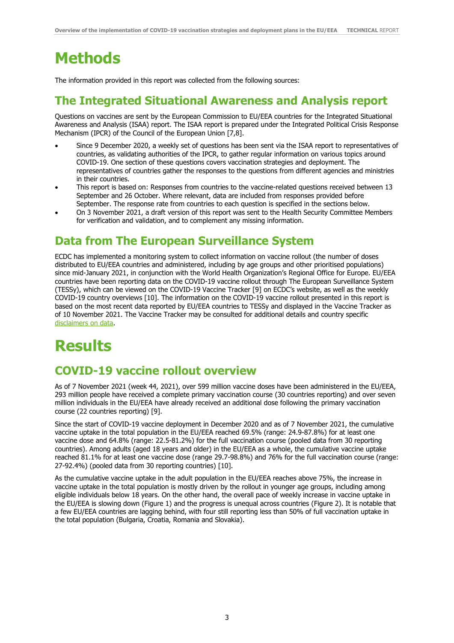# **Methods**

The information provided in this report was collected from the following sources:

### **The Integrated Situational Awareness and Analysis report**

Questions on vaccines are sent by the European Commission to EU/EEA countries for the Integrated Situational Awareness and Analysis (ISAA) report. The ISAA report is prepared under the Integrated Political Crisis Response Mechanism (IPCR) of the Council of the European Union [7,8].

- Since 9 December 2020, a weekly set of questions has been sent via the ISAA report to representatives of countries, as validating authorities of the IPCR, to gather regular information on various topics around COVID-19. One section of these questions covers vaccination strategies and deployment. The representatives of countries gather the responses to the questions from different agencies and ministries in their countries.
- This report is based on: Responses from countries to the vaccine-related questions received between 13 September and 26 October. Where relevant, data are included from responses provided before September. The response rate from countries to each question is specified in the sections below.
- On 3 November 2021, a draft version of this report was sent to the Health Security Committee Members for verification and validation, and to complement any missing information.

## **Data from The European Surveillance System**

ECDC has implemented a monitoring system to collect information on vaccine rollout (the number of doses distributed to EU/EEA countries and administered, including by age groups and other prioritised populations) since mid-January 2021, in conjunction with the World Health Organization's Regional Office for Europe. EU/EEA countries have been reporting data on the COVID-19 vaccine rollout through The European Surveillance System (TESSy), which can be viewed on the COVID-19 Vaccine Tracker [9] on ECDC's website, as well as the weekly COVID-19 country overviews [10]. The information on the COVID-19 vaccine rollout presented in this report is based on the most recent data reported by EU/EEA countries to TESSy and displayed in the Vaccine Tracker as of 10 November 2021. The Vaccine Tracker may be consulted for additional details and country specific [disclaimers on data.](https://vaccinetracker.ecdc.europa.eu/public/extensions/COVID-19/vaccine-tracker.html#notes-tab)

# **Results**

## **COVID-19 vaccine rollout overview**

As of 7 November 2021 (week 44, 2021), over 599 million vaccine doses have been administered in the EU/EEA, 293 million people have received a complete primary vaccination course (30 countries reporting) and over seven million individuals in the EU/EEA have already received an additional dose following the primary vaccination course (22 countries reporting) [9].

Since the start of COVID-19 vaccine deployment in December 2020 and as of 7 November 2021, the cumulative vaccine uptake in the total population in the EU/EEA reached 69.5% (range: 24.9-87.8%) for at least one vaccine dose and 64.8% (range: 22.5-81.2%) for the full vaccination course (pooled data from 30 reporting countries). Among adults (aged 18 years and older) in the EU/EEA as a whole, the cumulative vaccine uptake reached 81.1% for at least one vaccine dose (range 29.7-98.8%) and 76% for the full vaccination course (range: 27-92.4%) (pooled data from 30 reporting countries) [10].

As the cumulative vaccine uptake in the adult population in the EU/EEA reaches above 75%, the increase in vaccine uptake in the total population is mostly driven by the rollout in younger age groups, including among eligible individuals below 18 years. On the other hand, the overall pace of weekly increase in vaccine uptake in the EU/EEA is slowing down (Figure 1) and the progress is unequal across countries (Figure 2). It is notable that a few EU/EEA countries are lagging behind, with four still reporting less than 50% of full vaccination uptake in the total population (Bulgaria, Croatia, Romania and Slovakia).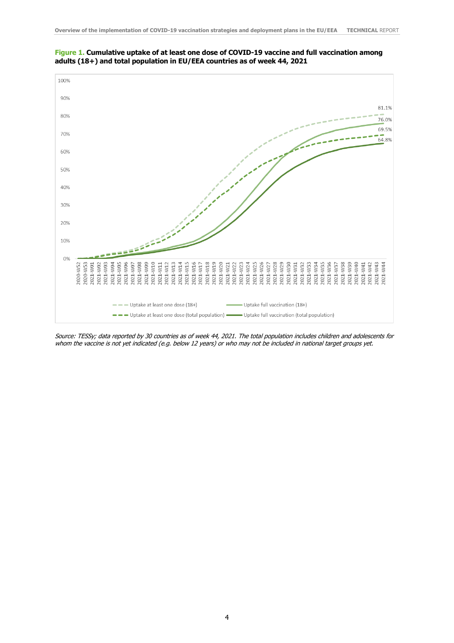



Source: TESSy; data reported by 30 countries as of week 44, 2021. The total population includes children and adolescents for whom the vaccine is not yet indicated (e.g. below 12 years) or who may not be included in national target groups yet.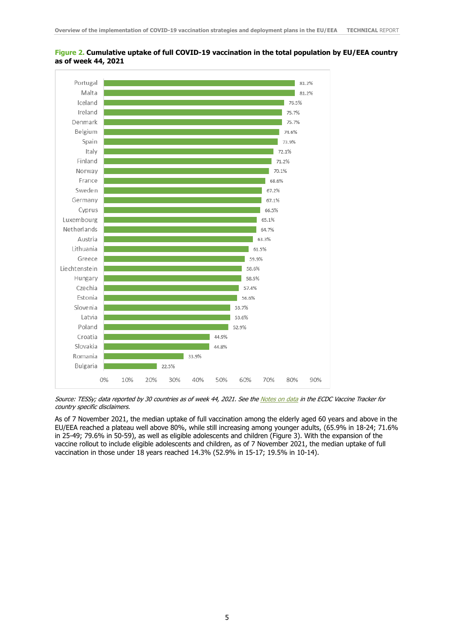

#### **Figure 2. Cumulative uptake of full COVID-19 vaccination in the total population by EU/EEA country as of week 44, 2021**

Source: TESSy; data reported by 30 countries as of week 44, 2021. See th[e Notes on data](https://qap.ecdc.europa.eu/public/extensions/COVID-19/vaccine-tracker.html#notes-tab) in the ECDC Vaccine Tracker for country specific disclaimers.

As of 7 November 2021, the median uptake of full vaccination among the elderly aged 60 years and above in the EU/EEA reached a plateau well above 80%, while still increasing among younger adults, (65.9% in 18-24; 71.6% in 25-49; 79.6% in 50-59), as well as eligible adolescents and children (Figure 3). With the expansion of the vaccine rollout to include eligible adolescents and children, as of 7 November 2021, the median uptake of full vaccination in those under 18 years reached 14.3% (52.9% in 15-17; 19.5% in 10-14).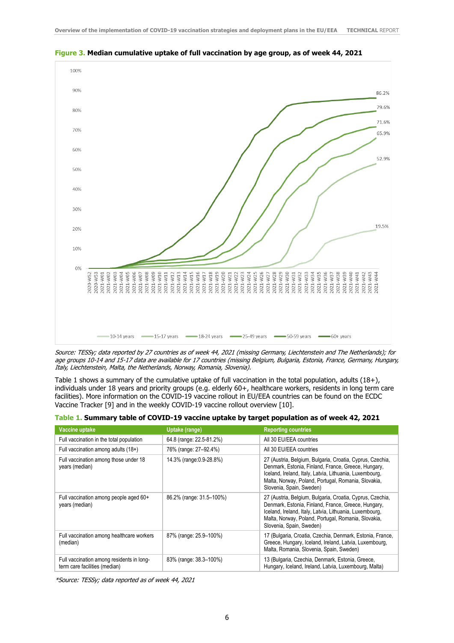

**Figure 3. Median cumulative uptake of full vaccination by age group, as of week 44, 2021** 

Source: TESSy; data reported by 27 countries as of week 44, 2021 (missing Germany, Liechtenstein and The Netherlands); for age groups 10-14 and 15-17 data are available for 17 countries (missing Belgium, Bulgaria, Estonia, France, Germany, Hungary, Italy, Liechtenstein, Malta, the Netherlands, Norway, Romania, Slovenia).

Table 1 shows a summary of the cumulative uptake of full vaccination in the total population, adults (18+), individuals under 18 years and priority groups (e.g. elderly 60+, healthcare workers, residents in long term care facilities). More information on the COVID-19 vaccine rollout in EU/EEA countries can be found on the ECDC Vaccine Tracker [9] and in the weekly COVID-19 vaccine rollout overview [10].

| Vaccine uptake                                                             | Uptake (range)           | <b>Reporting countries</b>                                                                                                                                                                                                                                     |
|----------------------------------------------------------------------------|--------------------------|----------------------------------------------------------------------------------------------------------------------------------------------------------------------------------------------------------------------------------------------------------------|
| Full vaccination in the total population                                   | 64.8 (range: 22.5-81.2%) | All 30 EU/EEA countries                                                                                                                                                                                                                                        |
| Full vaccination among adults (18+)                                        | 76% (range: 27-92.4%)    | All 30 EU/EEA countries                                                                                                                                                                                                                                        |
| Full vaccination among those under 18<br>years (median)                    | 14.3% (range: 0.9-28.8%) | 27 (Austria, Belgium, Bulgaria, Croatia, Cyprus, Czechia,<br>Denmark, Estonia, Finland, France, Greece, Hungary,<br>Iceland, Ireland, Italy, Latvia, Lithuania, Luxembourg,<br>Malta, Norway, Poland, Portugal, Romania, Slovakia,<br>Slovenia, Spain, Sweden) |
| Full vaccination among people aged 60+<br>years (median)                   | 86.2% (range: 31.5-100%) | 27 (Austria, Belgium, Bulgaria, Croatia, Cyprus, Czechia,<br>Denmark, Estonia, Finland, France, Greece, Hungary,<br>Iceland, Ireland, Italy, Latvia, Lithuania, Luxembourg,<br>Malta, Norway, Poland, Portugal, Romania, Slovakia,<br>Slovenia, Spain, Sweden) |
| Full vaccination among healthcare workers<br>(median)                      | 87% (range: 25.9–100%)   | 17 (Bulgaria, Croatia, Czechia, Denmark, Estonia, France,<br>Greece, Hungary, Iceland, Ireland, Latvia, Luxembourg,<br>Malta, Romania, Slovenia, Spain, Sweden)                                                                                                |
| Full vaccination among residents in long-<br>term care facilities (median) | 83% (range: 38.3-100%)   | 13 (Bulgaria, Czechia, Denmark, Estonia, Greece,<br>Hungary, Iceland, Ireland, Latvia, Luxembourg, Malta)                                                                                                                                                      |

| Table 1. Summary table of COVID-19 vaccine uptake by target population as of week 42, 2021 |  |  |
|--------------------------------------------------------------------------------------------|--|--|
|                                                                                            |  |  |

\*Source: TESSy; data reported as of week 44, 2021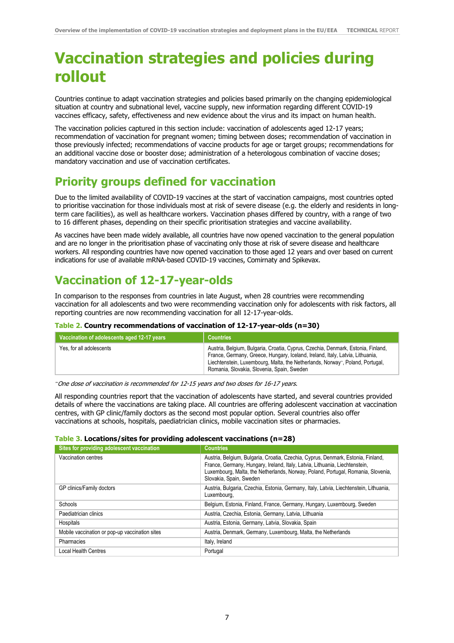## **Vaccination strategies and policies during rollout**

Countries continue to adapt vaccination strategies and policies based primarily on the changing epidemiological situation at country and subnational level, vaccine supply, new information regarding different COVID-19 vaccines efficacy, safety, effectiveness and new evidence about the virus and its impact on human health.

The vaccination policies captured in this section include: vaccination of adolescents aged 12-17 years; recommendation of vaccination for pregnant women; timing between doses; recommendation of vaccination in those previously infected; recommendations of vaccine products for age or target groups; recommendations for an additional vaccine dose or booster dose; administration of a heterologous combination of vaccine doses; mandatory vaccination and use of vaccination certificates.

### **Priority groups defined for vaccination**

Due to the limited availability of COVID-19 vaccines at the start of vaccination campaigns, most countries opted to prioritise vaccination for those individuals most at risk of severe disease (e.g. the elderly and residents in longterm care facilities), as well as healthcare workers. Vaccination phases differed by country, with a range of two to 16 different phases, depending on their specific prioritisation strategies and vaccine availability.

As vaccines have been made widely available, all countries have now opened vaccination to the general population and are no longer in the prioritisation phase of vaccinating only those at risk of severe disease and healthcare workers. All responding countries have now opened vaccination to those aged 12 years and over based on current indications for use of available mRNA-based COVID-19 vaccines, Comirnaty and Spikevax.

## **Vaccination of 12-17-year-olds**

In comparison to the responses from countries in late August, when 28 countries were recommending vaccination for all adolescents and two were recommending vaccination only for adolescents with risk factors, all reporting countries are now recommending vaccination for all 12-17-year-olds.

#### **Table 2. Country recommendations of vaccination of 12-17-year-olds (n=30)**

| Vaccination of adolescents aged 12-17 years | <b>Countries</b>                                                                                                                                                                                                                                                                                 |
|---------------------------------------------|--------------------------------------------------------------------------------------------------------------------------------------------------------------------------------------------------------------------------------------------------------------------------------------------------|
| Yes, for all adolescents                    | Austria, Belgium, Bulgaria, Croatia, Cyprus, Czechia, Denmark, Estonia, Finland,<br>France, Germany, Greece, Hungary, Iceland, Ireland, Italy, Latvia, Lithuania,<br>Liechtenstein, Luxembourg, Malta, the Netherlands, Norway-, Poland, Portugal,<br>Romania, Slovakia, Slovenia, Spain, Sweden |

~ One dose of vaccination is recommended for 12-15 years and two doses for 16-17 years.

All responding countries report that the vaccination of adolescents have started, and several countries provided details of where the vaccinations are taking place. All countries are offering adolescent vaccination at vaccination centres, with GP clinic/family doctors as the second most popular option. Several countries also offer vaccinations at schools, hospitals, paediatrician clinics, mobile vaccination sites or pharmacies.

#### **Table 3. Locations/sites for providing adolescent vaccinations (n=28)**

| Sites for providing adolescent vaccination     | <b>Countries</b>                                                                                                                                                                                                                                                               |
|------------------------------------------------|--------------------------------------------------------------------------------------------------------------------------------------------------------------------------------------------------------------------------------------------------------------------------------|
| Vaccination centres                            | Austria, Belgium, Bulgaria, Croatia, Czechia, Cyprus, Denmark, Estonia, Finland,<br>France, Germany, Hungary, Ireland, Italy, Latvia, Lithuania, Liechtenstein,<br>Luxembourg, Malta, the Netherlands, Norway, Poland, Portugal, Romania, Slovenia,<br>Slovakia, Spain, Sweden |
| GP clinics/Family doctors                      | Austria, Bulgaria, Czechia, Estonia, Germany, Italy, Latvia, Liechtenstein, Lithuania,<br>Luxembourg,                                                                                                                                                                          |
| Schools                                        | Belgium, Estonia, Finland, France, Germany, Hungary, Luxembourg, Sweden                                                                                                                                                                                                        |
| Paediatrician clinics                          | Austria, Czechia, Estonia, Germany, Latvia, Lithuania                                                                                                                                                                                                                          |
| Hospitals                                      | Austria, Estonia, Germany, Latvia, Slovakia, Spain                                                                                                                                                                                                                             |
| Mobile vaccination or pop-up vaccination sites | Austria, Denmark, Germany, Luxembourg, Malta, the Netherlands                                                                                                                                                                                                                  |
| Pharmacies                                     | Italy, Ireland                                                                                                                                                                                                                                                                 |
| Local Health Centres                           | Portugal                                                                                                                                                                                                                                                                       |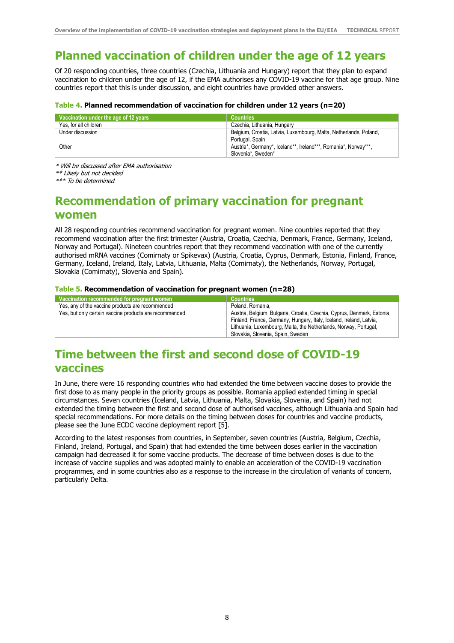## **Planned vaccination of children under the age of 12 years**

Of 20 responding countries, three countries (Czechia, Lithuania and Hungary) report that they plan to expand vaccination to children under the age of 12, if the EMA authorises any COVID-19 vaccine for that age group. Nine countries report that this is under discussion, and eight countries have provided other answers.

#### **Table 4. Planned recommendation of vaccination for children under 12 years (n=20)**

| Vaccination under the age of 12 years | <b>Countries</b>                                                  |
|---------------------------------------|-------------------------------------------------------------------|
| Yes, for all children                 | Czechia, Lithuania, Hungary                                       |
| Under discussion                      | Belgium, Croatia, Latvia, Luxembourg, Malta, Netherlands, Poland, |
|                                       | Portugal, Spain                                                   |
| Other                                 | Austria*, Germany*, Iceland**, Ireland***, Romania*, Norway***,   |
|                                       | Slovenia*, Sweden*                                                |

\* Will be discussed after EMA authorisation

\*\* Likely but not decided

\*\*\* To be determined

### **Recommendation of primary vaccination for pregnant women**

All 28 responding countries recommend vaccination for pregnant women. Nine countries reported that they recommend vaccination after the first trimester (Austria, Croatia, Czechia, Denmark, France, Germany, Iceland, Norway and Portugal). Nineteen countries report that they recommend vaccination with one of the currently authorised mRNA vaccines (Comirnaty or Spikevax) (Austria, Croatia, Cyprus, Denmark, Estonia, Finland, France, Germany, Iceland, Ireland, Italy, Latvia, Lithuania, Malta (Comirnaty), the Netherlands, Norway, Portugal, Slovakia (Comirnaty), Slovenia and Spain).

#### **Table 5. Recommendation of vaccination for pregnant women (n=28)**

| Vaccination recommended for pregnant women             | <b>Countries</b>                                                                                                                                                                                                                                        |
|--------------------------------------------------------|---------------------------------------------------------------------------------------------------------------------------------------------------------------------------------------------------------------------------------------------------------|
| Yes, any of the vaccine products are recommended       | Poland, Romania.                                                                                                                                                                                                                                        |
| Yes, but only certain vaccine products are recommended | Austria, Belgium, Bulgaria, Croatia, Czechia, Cyprus, Denmark, Estonia,<br>Finland, France, Germany, Hungary, Italy, Iceland, Ireland, Latvia,<br>Lithuania, Luxembourg, Malta, the Netherlands, Norway, Portugal,<br>Slovakia, Slovenia, Spain, Sweden |

### **Time between the first and second dose of COVID-19 vaccines**

In June, there were 16 responding countries who had extended the time between vaccine doses to provide the first dose to as many people in the priority groups as possible. Romania applied extended timing in special circumstances. Seven countries (Iceland, Latvia, Lithuania, Malta, Slovakia, Slovenia, and Spain) had not extended the timing between the first and second dose of authorised vaccines, although Lithuania and Spain had special recommendations. For more details on the timing between doses for countries and vaccine products, please see the June ECDC vaccine deployment report [5].

According to the latest responses from countries, in September, seven countries (Austria, Belgium, Czechia, Finland, Ireland, Portugal, and Spain) that had extended the time between doses earlier in the vaccination campaign had decreased it for some vaccine products. The decrease of time between doses is due to the increase of vaccine supplies and was adopted mainly to enable an acceleration of the COVID-19 vaccination programmes, and in some countries also as a response to the increase in the circulation of variants of concern, particularly Delta.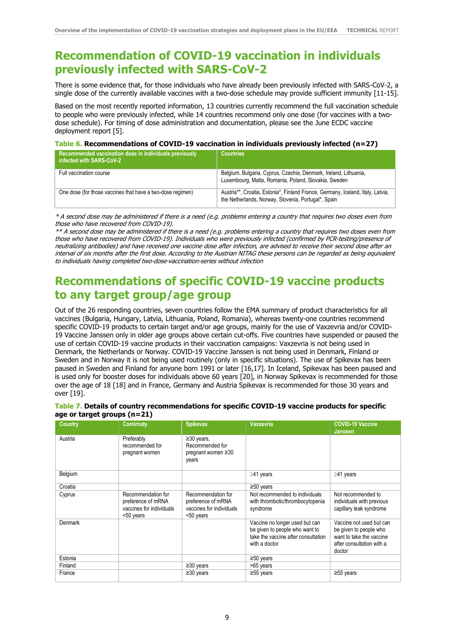### **Recommendation of COVID-19 vaccination in individuals previously infected with SARS-CoV-2**

There is some evidence that, for those individuals who have already been previously infected with SARS-CoV-2, a single dose of the currently available vaccines with a two-dose schedule may provide sufficient immunity [11-15].

Based on the most recently reported information, 13 countries currently recommend the full vaccination schedule to people who were previously infected, while 14 countries recommend only one dose (for vaccines with a twodose schedule). For timing of dose administration and documentation, please see the June ECDC vaccine deployment report [5].

#### **Table 6. Recommendations of COVID-19 vaccination in individuals previously infected (n=27)**

| Recommended vaccination dose in individuals previously<br>infected with SARS-CoV-2 | <b>Countries</b>                                                                                                                      |
|------------------------------------------------------------------------------------|---------------------------------------------------------------------------------------------------------------------------------------|
| Full vaccination course                                                            | Belgium, Bulgaria, Cyprus, Czechia, Denmark, Ireland, Lithuania,<br>Luxembourg, Malta, Romania, Poland, Slovakia, Sweden              |
| One dose (for those vaccines that have a two-dose regimen)                         | Austria**, Croatia, Estonia*, Finland France, Germany, Iceland, Italy, Latvia,<br>the Netherlands, Norway, Slovenia, Portugal*, Spain |

\* A second dose may be administered if there is a need (e.g. problems entering a country that requires two doses even from those who have recovered from COVID-19).

\*\* A second dose may be administered if there is a need (e.g. problems entering a country that requires two doses even from those who have recovered from COVID-19). Individuals who were previously infected (confirmed by PCR-testing/presence of neutralizing antibodies) and have received one vaccine dose after infection, are advised to receive their second dose after an interval of six months after the first dose. According to the Austrian NITAG these persons can be regarded as being equivalent to individuals having completed two-dose-vaccination-series without infection

### **Recommendations of specific COVID-19 vaccine products to any target group/age group**

Out of the 26 responding countries, seven countries follow the EMA summary of product characteristics for all vaccines (Bulgaria, Hungary, Latvia, Lithuania, Poland, Romania), whereas twenty-one countries recommend specific COVID-19 products to certain target and/or age groups, mainly for the use of Vaxzevria and/or COVID-19 Vaccine Janssen only in older age groups above certain cut-offs. Five countries have suspended or paused the use of certain COVID-19 vaccine products in their vaccination campaigns: Vaxzevria is not being used in Denmark, the Netherlands or Norway. COVID-19 Vaccine Janssen is not being used in Denmark, Finland or Sweden and in Norway it is not being used routinely (only in specific situations). The use of Spikevax has been paused in Sweden and Finland for anyone born 1991 or later [16,17]. In Iceland, Spikevax has been paused and is used only for booster doses for individuals above 60 years [20], in Norway Spikevax is recommended for those over the age of 18 [18] and in France, Germany and Austria Spikevax is recommended for those 30 years and over [19].

| <b>Country</b> | <b>Comirnaty</b>                                                                  | <b>Spikevax</b>                                                                   | <b>Vaxzevria</b>                                                                                                         | <b>COVID-19 Vaccine</b><br><b>Janssen</b>                                                                             |
|----------------|-----------------------------------------------------------------------------------|-----------------------------------------------------------------------------------|--------------------------------------------------------------------------------------------------------------------------|-----------------------------------------------------------------------------------------------------------------------|
| Austria        | Preferably<br>recommended for<br>pregnant women                                   | $\geq$ 30 years,<br>Recommended for<br>pregnant women $\geq 30$<br>years          |                                                                                                                          |                                                                                                                       |
| Belgium        |                                                                                   |                                                                                   | $\geq$ 41 years                                                                                                          | $\geq$ 41 years                                                                                                       |
| Croatia        |                                                                                   |                                                                                   | $\geq 50$ years                                                                                                          |                                                                                                                       |
| Cyprus         | Recommendation for<br>preference of mRNA<br>vaccines for individuals<br><50 years | Recommendation for<br>preference of mRNA<br>vaccines for individuals<br><50 years | Not recommended to individuals<br>with thrombotic/thrombocytopenia<br>syndrome                                           | Not recommended to<br>individuals with previous<br>capillary leak syndrome                                            |
| Denmark        |                                                                                   |                                                                                   | Vaccine no longer used but can<br>be given to people who want to<br>take the vaccine after consultation<br>with a doctor | Vaccine not used but can<br>be given to people who<br>want to take the vaccine<br>after consultation with a<br>doctor |
| Estonia        |                                                                                   |                                                                                   | $\geq 50$ years                                                                                                          |                                                                                                                       |
| Finland        |                                                                                   | $\geq$ 30 years                                                                   | >65 years                                                                                                                |                                                                                                                       |
| France         |                                                                                   | $\geq$ 30 years                                                                   | $\geq$ 55 years                                                                                                          | $\geq$ 55 years                                                                                                       |

#### **Table 7. Details of country recommendations for specific COVID-19 vaccine products for specific age or target groups (n=21)**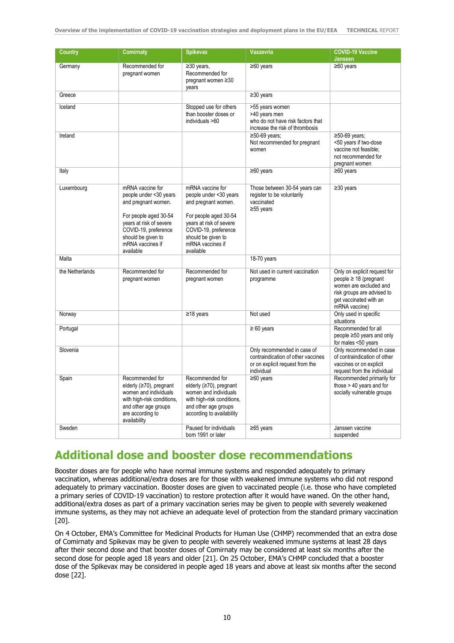| <b>Country</b>  | <b>Comirnaty</b>                                                                                                                                                                        | <b>Spikevax</b>                                                                                                                                                                         | <b>Vaxzevria</b>                                                                                                   | <b>COVID-19 Vaccine</b><br>Janssen                                                                                                                            |
|-----------------|-----------------------------------------------------------------------------------------------------------------------------------------------------------------------------------------|-----------------------------------------------------------------------------------------------------------------------------------------------------------------------------------------|--------------------------------------------------------------------------------------------------------------------|---------------------------------------------------------------------------------------------------------------------------------------------------------------|
| Germany         | Recommended for<br>pregnant women                                                                                                                                                       | $\overline{\geq}30$ years,<br>Recommended for<br>pregnant women ≥30<br>years                                                                                                            | $\geq 60$ years                                                                                                    | $\geq 60$ years                                                                                                                                               |
| Greece          |                                                                                                                                                                                         |                                                                                                                                                                                         | $\geq 30$ years                                                                                                    |                                                                                                                                                               |
| Iceland         |                                                                                                                                                                                         | Stopped use for others<br>than booster doses or<br>individuals >60                                                                                                                      | >55 years women<br>>40 years men<br>who do not have risk factors that<br>increase the risk of thrombosis           |                                                                                                                                                               |
| Ireland         |                                                                                                                                                                                         |                                                                                                                                                                                         | $\geq$ 50-69 years;<br>Not recommended for pregnant<br>women                                                       | $\geq$ 50-69 years;<br><50 years if two-dose<br>vaccine not feasible:<br>not recommended for<br>pregnant women                                                |
| Italy           |                                                                                                                                                                                         |                                                                                                                                                                                         | $\geq 60$ years                                                                                                    | $≥60$ years                                                                                                                                                   |
| Luxembourg      | mRNA vaccine for<br>people under <30 years<br>and pregnant women.<br>For people aged 30-54<br>years at risk of severe<br>COVID-19, preference<br>should be given to<br>mRNA vaccines if | mRNA vaccine for<br>people under <30 years<br>and pregnant women.<br>For people aged 30-54<br>years at risk of severe<br>COVID-19, preference<br>should be given to<br>mRNA vaccines if | Those between 30-54 years can<br>register to be voluntarily<br>vaccinated<br>$≥55$ years                           | $\geq$ 30 years                                                                                                                                               |
| Malta           | available                                                                                                                                                                               | available                                                                                                                                                                               | 18-70 years                                                                                                        |                                                                                                                                                               |
|                 |                                                                                                                                                                                         |                                                                                                                                                                                         |                                                                                                                    |                                                                                                                                                               |
| the Netherlands | Recommended for<br>pregnant women                                                                                                                                                       | Recommended for<br>pregnant women                                                                                                                                                       | Not used in current vaccination<br>programme                                                                       | Only on explicit request for<br>$people \geq 18$ (pregnant<br>women are excluded and<br>risk groups are advised to<br>get vaccinated with an<br>mRNA vaccine) |
| Norway          |                                                                                                                                                                                         | $\geq$ 18 years                                                                                                                                                                         | Not used                                                                                                           | Only used in specific<br>situations                                                                                                                           |
| Portugal        |                                                                                                                                                                                         |                                                                                                                                                                                         | $\geq 60$ years                                                                                                    | Recommended for all<br>people ≥50 years and only<br>for males <50 years                                                                                       |
| Slovenia        |                                                                                                                                                                                         |                                                                                                                                                                                         | Only recommended in case of<br>contraindication of other vaccines<br>or on explicit request from the<br>individual | Only recommended in case<br>of contraindication of other<br>vaccines or on explicit<br>request from the individual                                            |
| Spain           | Recommended for<br>elderly (≥70), pregnant<br>women and individuals<br>with high-risk conditions,<br>and other age groups<br>are according to<br>availability                           | Recommended for<br>elderly (≥70), pregnant<br>women and individuals<br>with high-risk conditions,<br>and other age groups<br>according to availability                                  | $\geq 60$ years                                                                                                    | Recommended primarily for<br>those > 40 years and for<br>socially vulnerable groups                                                                           |
| Sweden          |                                                                                                                                                                                         | Paused for individuals<br>born 1991 or later                                                                                                                                            | $≥65$ years                                                                                                        | Janssen vaccine<br>suspended                                                                                                                                  |

### **Additional dose and booster dose recommendations**

Booster doses are for people who have normal immune systems and responded adequately to primary vaccination, whereas additional/extra doses are for those with weakened immune systems who did not respond adequately to primary vaccination. Booster doses are given to vaccinated people (i.e. those who have completed a primary series of COVID-19 vaccination) to restore protection after it would have waned. On the other hand, additional/extra doses as part of a primary vaccination series may be given to people with severely weakened immune systems, as they may not achieve an adequate level of protection from the standard primary vaccination [20].

On 4 October, EMA's Committee for Medicinal Products for Human Use (CHMP) recommended that an extra dose of Comirnaty and Spikevax may be given to people with severely weakened immune systems at least 28 days after their second dose and that booster doses of Comirnaty may be considered at least six months after the second dose for people aged 18 years and older [21]. On 25 October, EMA's CHMP concluded that a booster dose of the Spikevax may be considered in people aged 18 years and above at least six months after the second dose [22].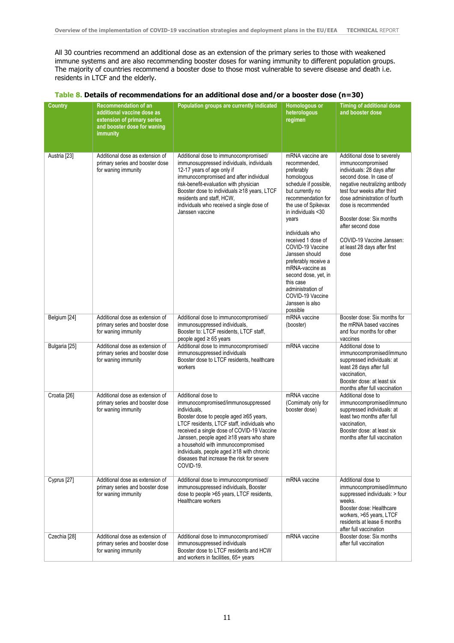All 30 countries recommend an additional dose as an extension of the primary series to those with weakened immune systems and are also recommending booster doses for waning immunity to different population groups. The majority of countries recommend a booster dose to those most vulnerable to severe disease and death i.e. residents in LTCF and the elderly.

|  | Table 8. Details of recommendations for an additional dose and/or a booster dose ( $n=30$ ) |  |  |  |
|--|---------------------------------------------------------------------------------------------|--|--|--|
|--|---------------------------------------------------------------------------------------------|--|--|--|

| <b>Country</b> | <b>Recommendation of an</b><br>additional vaccine dose as<br>extension of primary series<br>and booster dose for waning<br>immunity | Population groups are currently indicated                                                                                                                                                                                                                                                                                                                                                                 | Homologous or<br>heterologous<br>regimen                                                                                                                                                                                                                                                                                                                                                                                     | <b>Timing of additional dose</b><br>and booster dose                                                                                                                                                                                                                                                                                                     |
|----------------|-------------------------------------------------------------------------------------------------------------------------------------|-----------------------------------------------------------------------------------------------------------------------------------------------------------------------------------------------------------------------------------------------------------------------------------------------------------------------------------------------------------------------------------------------------------|------------------------------------------------------------------------------------------------------------------------------------------------------------------------------------------------------------------------------------------------------------------------------------------------------------------------------------------------------------------------------------------------------------------------------|----------------------------------------------------------------------------------------------------------------------------------------------------------------------------------------------------------------------------------------------------------------------------------------------------------------------------------------------------------|
| Austria [23]   | Additional dose as extension of<br>primary series and booster dose<br>for waning immunity                                           | Additional dose to immunocompromised/<br>immunosuppressed individuals, individuals<br>12-17 years of age only if<br>immunocompromised and after individual<br>risk-benefit-evaluation with physician<br>Booster dose to individuals ≥18 years, LTCF<br>residents and staff, HCW,<br>individuals who received a single dose of<br>Janssen vaccine                                                          | mRNA vaccine are<br>recommended,<br>preferably<br>homologous<br>schedule if possible,<br>but currently no<br>recommendation for<br>the use of Spikevax<br>in individuals <30<br>years<br>individuals who<br>received 1 dose of<br>COVID-19 Vaccine<br>Janssen should<br>preferably receive a<br>mRNA-vaccine as<br>second dose, yet, in<br>this case<br>administration of<br>COVID-19 Vaccine<br>Janssen is also<br>possible | Additional dose to severely<br>immunocompromised<br>individuals: 28 days after<br>second dose. In case of<br>negative neutralizing antibody<br>test four weeks after third<br>dose administration of fourth<br>dose is recommended<br>Booster dose: Six months<br>after second dose<br>COVID-19 Vaccine Janssen:<br>at least 28 days after first<br>dose |
| Belgium [24]   | Additional dose as extension of<br>primary series and booster dose<br>for waning immunity                                           | Additional dose to immunocompromised/<br>immunosuppressed individuals,<br>Booster to: LTCF residents, LTCF staff,<br>people aged $\geq 65$ years                                                                                                                                                                                                                                                          | mRNA vaccine<br>(booster)                                                                                                                                                                                                                                                                                                                                                                                                    | Booster dose: Six months for<br>the mRNA based vaccines<br>and four months for other<br>vaccines                                                                                                                                                                                                                                                         |
| Bulgaria [25]  | Additional dose as extension of<br>primary series and booster dose<br>for waning immunity                                           | Additional dose to immunocompromised/<br>immunosuppressed individuals<br>Booster dose to LTCF residents, healthcare<br>workers                                                                                                                                                                                                                                                                            | mRNA vaccine                                                                                                                                                                                                                                                                                                                                                                                                                 | Additional dose to<br>immunocompromised/immuno<br>suppressed individuals: at<br>least 28 days after full<br>vaccination,<br>Booster dose: at least six<br>months after full vaccination                                                                                                                                                                  |
| Croatia [26]   | Additional dose as extension of<br>primary series and booster dose<br>for waning immunity                                           | Additional dose to<br>immunocompromised/immunosuppressed<br>individuals,<br>Booster dose to people aged ≥65 years,<br>LTCF residents, LTCF staff, individuals who<br>received a single dose of COVID-19 Vaccine<br>Janssen, people aged ≥18 years who share<br>a household with immunocompromised<br>individuals, people aged ≥18 with chronic<br>diseases that increase the risk for severe<br>COVID-19. | mRNA vaccine<br>(Comirnaty only for<br>booster dose)                                                                                                                                                                                                                                                                                                                                                                         | Additional dose to<br>immunocompromised/immuno<br>suppressed individuals: at<br>least two months after full<br>vaccination,<br>Booster dose: at least six<br>months after full vaccination                                                                                                                                                               |
| Cyprus [27]    | Additional dose as extension of<br>primary series and booster dose<br>for waning immunity                                           | Additional dose to immunocompromised/<br>immunosuppressed individuals, Booster<br>dose to people >65 years, LTCF residents,<br>Healthcare workers                                                                                                                                                                                                                                                         | mRNA vaccine                                                                                                                                                                                                                                                                                                                                                                                                                 | Additional dose to<br>immunocompromised/immuno<br>suppressed individuals: > four<br>weeks.<br>Booster dose: Healthcare<br>workers, >65 years, LTCF<br>residents at lease 6 months<br>after full vaccination                                                                                                                                              |
| Czechia [28]   | Additional dose as extension of<br>primary series and booster dose<br>for waning immunity                                           | Additional dose to immunocompromised/<br>immunosuppressed individuals<br>Booster dose to LTCF residents and HCW<br>and workers in facilities, 65+ years                                                                                                                                                                                                                                                   | mRNA vaccine                                                                                                                                                                                                                                                                                                                                                                                                                 | Booster dose: Six months<br>after full vaccination                                                                                                                                                                                                                                                                                                       |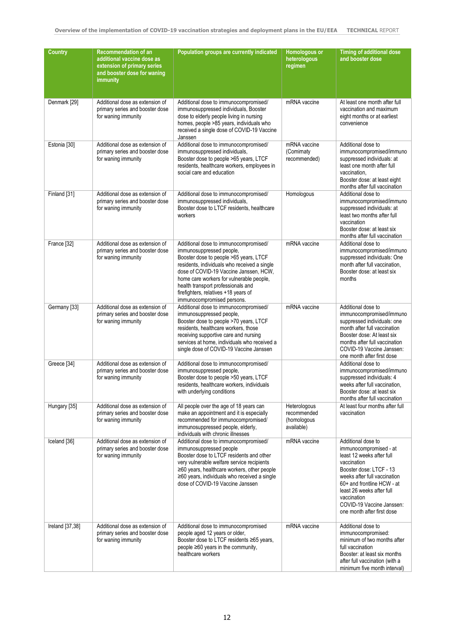| <b>Country</b>  | <b>Recommendation of an</b><br>additional vaccine dose as<br>extension of primary series<br>and booster dose for waning<br>immunity | Population groups are currently indicated                                                                                                                                                                                                                                                                                                                     | Homologous or<br>heterologous<br>regimen                 | <b>Timing of additional dose</b><br>and booster dose                                                                                                                                                                                                                                     |
|-----------------|-------------------------------------------------------------------------------------------------------------------------------------|---------------------------------------------------------------------------------------------------------------------------------------------------------------------------------------------------------------------------------------------------------------------------------------------------------------------------------------------------------------|----------------------------------------------------------|------------------------------------------------------------------------------------------------------------------------------------------------------------------------------------------------------------------------------------------------------------------------------------------|
| Denmark [29]    | Additional dose as extension of<br>primary series and booster dose<br>for waning immunity                                           | Additional dose to immunocompromised/<br>immunosuppressed individuals, Booster<br>dose to elderly people living in nursing<br>homes, people >85 years, individuals who<br>received a single dose of COVID-19 Vaccine<br>Janssen                                                                                                                               | mRNA vaccine                                             | At least one month after full<br>vaccination and maximum<br>eight months or at earliest<br>convenience                                                                                                                                                                                   |
| Estonia [30]    | Additional dose as extension of<br>primary series and booster dose<br>for waning immunity                                           | Additional dose to immunocompromised/<br>immunosuppressed individuals,<br>Booster dose to people >65 years, LTCF<br>residents, healthcare workers, employees in<br>social care and education                                                                                                                                                                  | mRNA vaccine<br>(Comirnaty<br>recommended)               | Additional dose to<br>immunocompromised/immuno<br>suppressed individuals: at<br>least one month after full<br>vaccination,<br>Booster dose: at least eight<br>months after full vaccination                                                                                              |
| Finland [31]    | Additional dose as extension of<br>primary series and booster dose<br>for waning immunity                                           | Additional dose to immunocompromised/<br>immunosuppressed individuals,<br>Booster dose to LTCF residents, healthcare<br>workers                                                                                                                                                                                                                               | Homologous                                               | Additional dose to<br>immunocompromised/immuno<br>suppressed individuals: at<br>least two months after full<br>vaccination<br>Booster dose: at least six<br>months after full vaccination                                                                                                |
| France [32]     | Additional dose as extension of<br>primary series and booster dose<br>for waning immunity                                           | Additional dose to immunocompromised/<br>immunosuppressed people,<br>Booster dose to people >65 years, LTCF<br>residents, individuals who received a single<br>dose of COVID-19 Vaccine Janssen, HCW,<br>home care workers for vulnerable people,<br>health transport professionals and<br>firefighters, relatives +18 years of<br>immunocompromised persons. | mRNA vaccine                                             | Additional dose to<br>immunocompromised/immuno<br>suppressed individuals: One<br>month after full vaccination.<br>Booster dose: at least six<br>months                                                                                                                                   |
| Germany [33]    | Additional dose as extension of<br>primary series and booster dose<br>for waning immunity                                           | Additional dose to immunocompromised/<br>immunosuppressed people,<br>Booster dose to people >70 years, LTCF<br>residents, healthcare workers, those<br>receiving supportive care and nursing<br>services at home, individuals who received a<br>single dose of COVID-19 Vaccine Janssen                                                                       | mRNA vaccine                                             | Additional dose to<br>immunocompromised/immuno<br>suppressed individuals: one<br>month after full vaccination<br>Booster dose: At least six<br>months after full vaccination<br>COVID-19 Vaccine Janssen:<br>one month after first dose                                                  |
| Greece [34]     | Additional dose as extension of<br>primary series and booster dose<br>for waning immunity                                           | Additional dose to immunocompromised/<br>immunosuppressed people,<br>Booster dose to people >50 years, LTCF<br>residents, healthcare workers, individuals<br>with underlying conditions                                                                                                                                                                       |                                                          | Additional dose to<br>immunocompromised/immuno<br>suppressed individuals: 4<br>weeks after full vaccination.<br>Booster dose: at least six<br>months after full vaccination                                                                                                              |
| Hungary [35]    | Additional dose as extension of<br>primary series and booster dose<br>for waning immunity                                           | All people over the age of 18 years can<br>make an appointment and it is especially<br>recommended for immunocompromised/<br>immunosuppressed people, elderly,<br>individuals with chronic illnesses                                                                                                                                                          | Heterologous<br>recommended<br>(homologous<br>available) | At least four months after full<br>vaccination                                                                                                                                                                                                                                           |
| Iceland [36]    | Additional dose as extension of<br>primary series and booster dose<br>for waning immunity                                           | Additional dose to immunocompromised/<br>immunosuppressed people<br>Booster dose to LTCF residents and other<br>very vulnerable welfare service recipients<br>$\geq 60$ years, healthcare workers, other people<br>$\geq 60$ years, individuals who received a single<br>dose of COVID-19 Vaccine Janssen                                                     | mRNA vaccine                                             | Additional dose to<br>immunocompromised - at<br>least 12 weeks after full<br>vaccination<br>Booster dose: LTCF - 13<br>weeks after full vaccination<br>60+ and frontline HCW - at<br>least 26 weeks after full<br>vaccination<br>COVID-19 Vaccine Janssen:<br>one month after first dose |
| Ireland [37,38] | Additional dose as extension of<br>primary series and booster dose<br>for waning immunity                                           | Additional dose to immunocompromised<br>people aged 12 years or older,<br>Booster dose to LTCF residents ≥65 years,<br>people $\geq 60$ years in the community,<br>healthcare workers                                                                                                                                                                         | mRNA vaccine                                             | Additional dose to<br>immunocompromised:<br>minimum of two months after<br>full vaccination<br>Booster: at least six months<br>after full vaccination (with a<br>minimum five month interval)                                                                                            |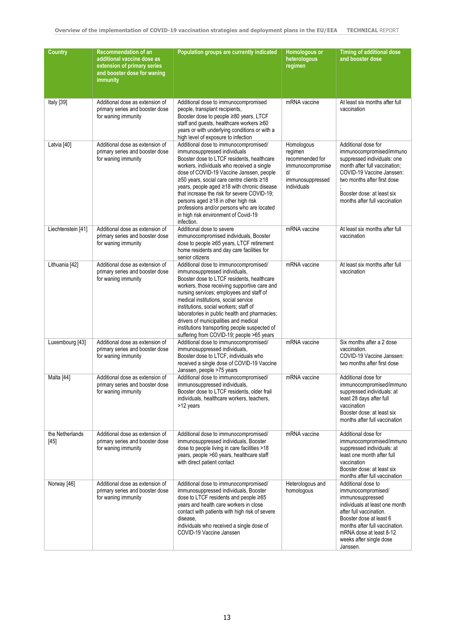| <b>Country</b>            | <b>Recommendation of an</b><br>additional vaccine dose as<br>extension of primary series<br>and booster dose for waning<br>immunity | Population groups are currently indicated                                                                                                                                                                                                                                                                                                                                                                                                                                                           | Homologous or<br>heterologous<br>regimen                                                              | <b>Timing of additional dose</b><br>and booster dose                                                                                                                                                                                                     |
|---------------------------|-------------------------------------------------------------------------------------------------------------------------------------|-----------------------------------------------------------------------------------------------------------------------------------------------------------------------------------------------------------------------------------------------------------------------------------------------------------------------------------------------------------------------------------------------------------------------------------------------------------------------------------------------------|-------------------------------------------------------------------------------------------------------|----------------------------------------------------------------------------------------------------------------------------------------------------------------------------------------------------------------------------------------------------------|
| Italy [39]                | Additional dose as extension of<br>primary series and booster dose<br>for waning immunity                                           | Additional dose to immunocompromised<br>people, transplant recipients,<br>Booster dose to people ≥80 years, LTCF<br>staff and guests, healthcare workers ≥60<br>years or with underlying conditions or with a<br>high level of exposure to infection                                                                                                                                                                                                                                                | mRNA vaccine                                                                                          | At least six months after full<br>vaccination                                                                                                                                                                                                            |
| Latvia [40]               | Additional dose as extension of<br>primary series and booster dose<br>for waning immunity                                           | Additional dose to immunocompromised/<br>immunosuppressed individuals<br>Booster dose to LTCF residents, healthcare<br>workers, individuals who received a single<br>dose of COVID-19 Vaccine Janssen, people<br>≥50 years, social care centre clients ≥18<br>years, people aged ≥18 with chronic disease<br>that increase the risk for severe COVID-19;<br>persons aged ≥18 in other high risk<br>professions and/or persons who are located<br>in high risk environment of Covid-19<br>infection. | Homologous<br>regimen<br>recommended for<br>immunocompromise<br>d/<br>immunosuppressed<br>individuals | Additional dose for<br>immunocompromised/immuno<br>suppressed individuals: one<br>month after full vaccination;<br>COVID-19 Vaccine Janssen:<br>two months after first dose<br>Booster dose: at least six<br>months after full vaccination               |
| Liechtenstein [41]        | Additional dose as extension of<br>primary series and booster dose<br>for waning immunity                                           | Additional dose to severe<br>immunocompromised individuals, Booster<br>dose to people ≥65 years, LTCF retirement<br>home residents and day care facilities for<br>senior citizens                                                                                                                                                                                                                                                                                                                   | mRNA vaccine                                                                                          | At least six months after full<br>vaccination                                                                                                                                                                                                            |
| Lithuania [42]            | Additional dose as extension of<br>primary series and booster dose<br>for waning immunity                                           | Additional dose to immunocompromised/<br>immunosuppressed individuals,<br>Booster dose to LTCF residents, healthcare<br>workers, those receiving supportive care and<br>nursing services; employees and staff of<br>medical institutions, social service<br>institutions, social workers; staff of<br>laboratories in public health and pharmacies;<br>drivers of municipalities and medical<br>institutions transporting people suspected of<br>suffering from COVID-19; people >65 years          | mRNA vaccine                                                                                          | At least six months after full<br>vaccination                                                                                                                                                                                                            |
| Luxembourg [43]           | Additional dose as extension of<br>primary series and booster dose<br>for waning immunity                                           | Additional dose to immunocompromised/<br>immunosuppressed individuals,<br>Booster dose to LTCF, individuals who<br>received a single dose of COVID-19 Vaccine<br>Janssen, people >75 years                                                                                                                                                                                                                                                                                                          | mRNA vaccine                                                                                          | Six months after a 2 dose<br>vaccination.<br>COVID-19 Vaccine Janssen:<br>two months after first dose                                                                                                                                                    |
| Malta [44]                | Additional dose as extension of<br>primary series and booster dose<br>for waning immunity                                           | Additional dose to immunocompromised/<br>immunosuppressed individuals,<br>Booster dose to LTCF residents, older frail<br>individuals, healthcare workers, teachers,<br>>12 years                                                                                                                                                                                                                                                                                                                    | mRNA vaccine                                                                                          | Additional dose for<br>immunocompromised/immuno<br>suppressed individuals: at<br>least 28 days after full<br>vaccination<br>Booster dose: at least six<br>months after full vaccination                                                                  |
| the Netherlands<br>$[45]$ | Additional dose as extension of<br>primary series and booster dose<br>for waning immunity                                           | Additional dose to immunocompromised/<br>immunosuppressed individuals, Booster<br>dose to people living in care facilities >18<br>years, people >60 years, healthcare staff<br>with direct patient contact                                                                                                                                                                                                                                                                                          | mRNA vaccine                                                                                          | Additional dose for<br>immunocompromised/immuno<br>suppressed individuals: at<br>least one month after full<br>vaccination<br>Booster dose: at least six<br>months after full vaccination                                                                |
| Norway [46]               | Additional dose as extension of<br>primary series and booster dose<br>for waning immunity                                           | Additional dose to immunocompromised/<br>immunosuppressed individuals, Booster<br>dose to LTCF residents and people ≥65<br>years and health care workers in close<br>contact with patients with high risk of severe<br>disease,<br>individuals who received a single dose of<br>COVID-19 Vaccine Janssen                                                                                                                                                                                            | Heterologous and<br>homologous                                                                        | Additional dose to<br>immunocompromised/<br>immunosuppressed<br>individuals at least one month<br>after full vaccination.<br>Booster dose at least 6<br>months after full vaccination.<br>mRNA dose at least 8-12<br>weeks after single dose<br>Janssen. |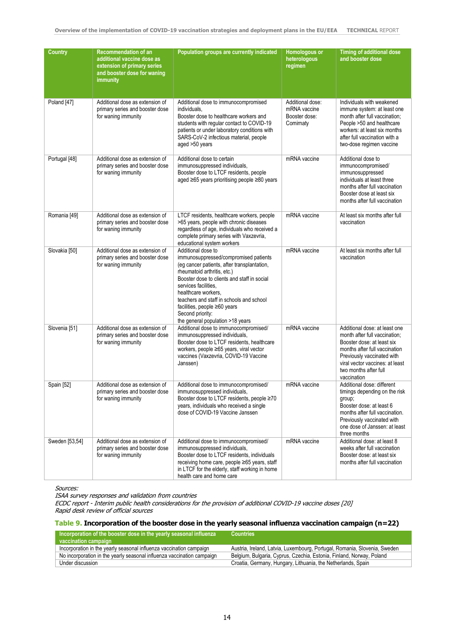| <b>Country</b> | <b>Recommendation of an</b><br>additional vaccine dose as<br>extension of primary series<br>and booster dose for waning<br>immunity | Population groups are currently indicated                                                                                                                                                                                                                                                                                                                                   | Homologous or<br>heterologous<br>regimen                       | <b>Timing of additional dose</b><br>and booster dose                                                                                                                                                                                   |
|----------------|-------------------------------------------------------------------------------------------------------------------------------------|-----------------------------------------------------------------------------------------------------------------------------------------------------------------------------------------------------------------------------------------------------------------------------------------------------------------------------------------------------------------------------|----------------------------------------------------------------|----------------------------------------------------------------------------------------------------------------------------------------------------------------------------------------------------------------------------------------|
| Poland [47]    | Additional dose as extension of<br>primary series and booster dose<br>for waning immunity                                           | Additional dose to immunocompromised<br>individuals.<br>Booster dose to healthcare workers and<br>students with regular contact to COVID-19<br>patients or under laboratory conditions with<br>SARS-CoV-2 infectious material, people<br>aged >50 years                                                                                                                     | Additional dose:<br>mRNA vaccine<br>Booster dose:<br>Comirnaty | Individuals with weakened<br>immune system: at least one<br>month after full vaccination;<br>People >50 and healthcare<br>workers: at least six months<br>after full vaccination with a<br>two-dose regimen vaccine                    |
| Portugal [48]  | Additional dose as extension of<br>primary series and booster dose<br>for waning immunity                                           | Additional dose to certain<br>immunosuppressed individuals,<br>Booster dose to LTCF residents, people<br>aged ≥65 years prioritising people ≥80 years                                                                                                                                                                                                                       | mRNA vaccine                                                   | Additional dose to<br>immunocompromised/<br>immunosuppressed<br>individuals at least three<br>months after full vaccination<br>Booster dose at least six<br>months after full vaccination                                              |
| Romania [49]   | Additional dose as extension of<br>primary series and booster dose<br>for waning immunity                                           | LTCF residents, healthcare workers, people<br>>65 years, people with chronic diseases<br>regardless of age, individuals who received a<br>complete primary series with Vaxzevria,<br>educational system workers                                                                                                                                                             | mRNA vaccine                                                   | At least six months after full<br>vaccination                                                                                                                                                                                          |
| Slovakia [50]  | Additional dose as extension of<br>primary series and booster dose<br>for waning immunity                                           | Additional dose to<br>immunosuppressed/compromised patients<br>(eg cancer patients, after transplantation,<br>rheumatoid arthritis, etc.)<br>Booster dose to clients and staff in social<br>services facilities.<br>healthcare workers.<br>teachers and staff in schools and school<br>facilities, people ≥60 years<br>Second priority:<br>the general population >18 years | mRNA vaccine                                                   | At least six months after full<br>vaccination                                                                                                                                                                                          |
| Slovenia [51]  | Additional dose as extension of<br>primary series and booster dose<br>for waning immunity                                           | Additional dose to immunocompromised/<br>immunosuppressed individuals,<br>Booster dose to LTCF residents, healthcare<br>workers, people ≥65 years, viral vector<br>vaccines (Vaxzevria, COVID-19 Vaccine<br>Janssen)                                                                                                                                                        | mRNA vaccine                                                   | Additional dose: at least one<br>month after full vaccination;<br>Booster dose: at least six<br>months after full vaccination<br>Previously vaccinated with<br>viral vector vaccines: at least<br>two months after full<br>vaccination |
| Spain [52]     | Additional dose as extension of<br>primary series and booster dose<br>for waning immunity                                           | Additional dose to immunocompromised/<br>immunosuppressed individuals,<br>Booster dose to LTCF residents, people ≥70<br>years, individuals who received a single<br>dose of COVID-19 Vaccine Janssen                                                                                                                                                                        | mRNA vaccine                                                   | Additional dose: different<br>timings depending on the risk<br>group;<br>Booster dose: at least 6<br>months after full vaccination.<br>Previously vaccinated with<br>one dose of Janssen: at least<br>three months                     |
| Sweden [53,54] | Additional dose as extension of<br>primary series and booster dose<br>for waning immunity                                           | Additional dose to immunocompromised/<br>immunosuppressed individuals,<br>Booster dose to LTCF residents, individuals<br>receiving home care, people ≥65 years, staff<br>in LTCF for the elderly, staff working in home<br>health care and home care                                                                                                                        | mRNA vaccine                                                   | Additional dose: at least 8<br>weeks after full vaccination<br>Booster dose: at least six<br>months after full vaccination                                                                                                             |

Sources:

ISAA survey responses and validation from countries

ECDC report - Interim public health considerations for the provision of additional COVID-19 vaccine doses [20] Rapid desk review of official sources

#### **Table 9. Incorporation of the booster dose in the yearly seasonal influenza vaccination campaign (n=22)**

| Incorporation of the booster dose in the yearly seasonal influenza,    | <b>Countries</b>                                                          |
|------------------------------------------------------------------------|---------------------------------------------------------------------------|
| vaccination campaign                                                   |                                                                           |
| Incorporation in the yearly seasonal influenza vaccination campaign    | Austria, Ireland, Latvia, Luxembourg, Portugal, Romania, Slovenia, Sweden |
| No incorporation in the yearly seasonal influenza vaccination campaign | Belgium, Bulgaria, Cyprus, Czechia, Estonia, Finland, Norway, Poland      |
| Under discussion                                                       | Croatia, Germany, Hungary, Lithuania, the Netherlands, Spain              |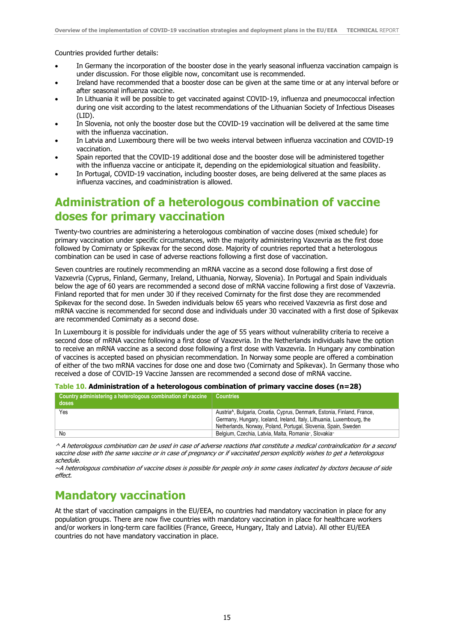Countries provided further details:

- In Germany the incorporation of the booster dose in the yearly seasonal influenza vaccination campaign is under discussion. For those eligible now, concomitant use is recommended.
- Ireland have recommended that a booster dose can be given at the same time or at any interval before or after seasonal influenza vaccine.
- In Lithuania it will be possible to get vaccinated against COVID-19, influenza and pneumococcal infection during one visit according to the latest recommendations of the Lithuanian Society of Infectious Diseases (LID).
- In Slovenia, not only the booster dose but the COVID-19 vaccination will be delivered at the same time with the influenza vaccination.
- In Latvia and Luxembourg there will be two weeks interval between influenza vaccination and COVID-19 vaccination.
- Spain reported that the COVID-19 additional dose and the booster dose will be administered together with the influenza vaccine or anticipate it, depending on the epidemiological situation and feasibility.
- In Portugal, COVID-19 vaccination, including booster doses, are being delivered at the same places as influenza vaccines, and coadministration is allowed.

### **Administration of a heterologous combination of vaccine doses for primary vaccination**

Twenty-two countries are administering a heterologous combination of vaccine doses (mixed schedule) for primary vaccination under specific circumstances, with the majority administering Vaxzevria as the first dose followed by Comirnaty or Spikevax for the second dose. Majority of countries reported that a heterologous combination can be used in case of adverse reactions following a first dose of vaccination.

Seven countries are routinely recommending an mRNA vaccine as a second dose following a first dose of Vazxevria (Cyprus, Finland, Germany, Ireland, Lithuania, Norway, Slovenia). In Portugal and Spain individuals below the age of 60 years are recommended a second dose of mRNA vaccine following a first dose of Vaxzevria. Finland reported that for men under 30 if they received Comirnaty for the first dose they are recommended Spikevax for the second dose. In Sweden individuals below 65 years who received Vaxzevria as first dose and mRNA vaccine is recommended for second dose and individuals under 30 vaccinated with a first dose of Spikevax are recommended Comirnaty as a second dose.

In Luxembourg it is possible for individuals under the age of 55 years without vulnerability criteria to receive a second dose of mRNA vaccine following a first dose of Vaxzevria. In the Netherlands individuals have the option to receive an mRNA vaccine as a second dose following a first dose with Vaxzevria. In Hungary any combination of vaccines is accepted based on physician recommendation. In Norway some people are offered a combination of either of the two mRNA vaccines for dose one and dose two (Comirnaty and Spikevax). In Germany those who received a dose of COVID-19 Vaccine Janssen are recommended a second dose of mRNA vaccine.

| Table 10. Administration of a heterologous combination of primary vaccine doses (n=28) |  |  |  |  |  |  |  |
|----------------------------------------------------------------------------------------|--|--|--|--|--|--|--|
|----------------------------------------------------------------------------------------|--|--|--|--|--|--|--|

| Country administering a heterologous combination of vaccine $\parallel$ Countries<br>doses |                                                                                                        |
|--------------------------------------------------------------------------------------------|--------------------------------------------------------------------------------------------------------|
| Yes                                                                                        | Austria <sup><math>\wedge</math></sup> , Bulgaria, Croatia, Cyprus, Denmark, Estonia, Finland, France, |
|                                                                                            | Germany, Hungary, Iceland, Ireland, Italy, Lithuania, Luxembourg, the                                  |
|                                                                                            | Netherlands, Norway, Poland, Portugal, Slovenia, Spain, Sweden                                         |
| No                                                                                         | Belgium, Czechia, Latvia, Malta, Romania~, Slovakia~                                                   |
|                                                                                            |                                                                                                        |

^ A heterologous combination can be used in case of adverse reactions that constitute a medical contraindication for a second vaccine dose with the same vaccine or in case of pregnancy or if vaccinated person explicitly wishes to get a heterologous schedule.

~A heterologous combination of vaccine doses is possible for people only in some cases indicated by doctors because of side effect.

### **Mandatory vaccination**

At the start of vaccination campaigns in the EU/EEA, no countries had mandatory vaccination in place for any population groups. There are now five countries with mandatory vaccination in place for healthcare workers and/or workers in long-term care facilities (France, Greece, Hungary, Italy and Latvia). All other EU/EEA countries do not have mandatory vaccination in place.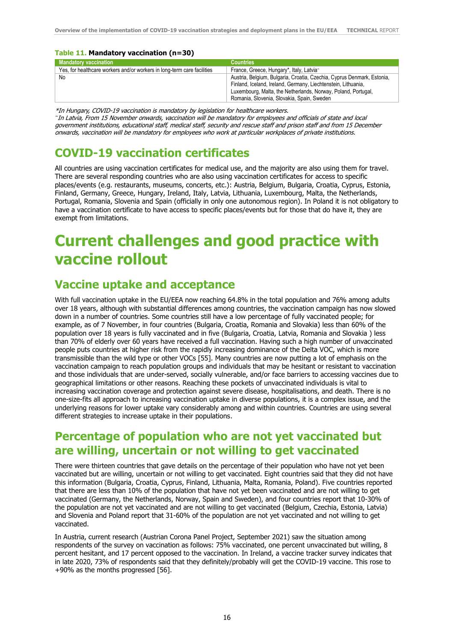#### **Table 11. Mandatory vaccination (n=30)**

| <b>Mandatory vaccination</b>                                            | <b>Countries</b>                                                       |
|-------------------------------------------------------------------------|------------------------------------------------------------------------|
| Yes, for healthcare workers and/or workers in long-term care facilities | France, Greece, Hungary*, Italy, Latvia <sup>~</sup>                   |
| No                                                                      | Austria, Belgium, Bulgaria, Croatia, Czechia, Cyprus Denmark, Estonia, |
|                                                                         | Finland, Iceland, Ireland, Germany, Liechtenstein, Lithuania,          |
|                                                                         | Luxembourg, Malta, the Netherlands, Norway, Poland, Portugal,          |
|                                                                         | Romania, Slovenia, Slovakia, Spain, Sweden                             |

\*In Hungary, COVID-19 vaccination is mandatory by legislation for healthcare workers. ~ In Latvia, From 15 November onwards, vaccination will be mandatory for employees and officials of state and local government institutions, educational staff, medical staff, security and rescue staff and prison staff and from 15 December onwards, vaccination will be mandatory for employees who work at particular workplaces of private institutions.

### **COVID-19 vaccination certificates**

All countries are using vaccination certificates for medical use, and the majority are also using them for travel. There are several responding countries who are also using vaccination certificates for access to specific places/events (e.g. restaurants, museums, concerts, etc.): Austria, Belgium, Bulgaria, Croatia, Cyprus, Estonia, Finland, Germany, Greece, Hungary, Ireland, Italy, Latvia, Lithuania, Luxembourg, Malta, the Netherlands, Portugal, Romania, Slovenia and Spain (officially in only one autonomous region). In Poland it is not obligatory to have a vaccination certificate to have access to specific places/events but for those that do have it, they are exempt from limitations.

## **Current challenges and good practice with vaccine rollout**

### **Vaccine uptake and acceptance**

With full vaccination uptake in the EU/EEA now reaching 64.8% in the total population and 76% among adults over 18 years, although with substantial differences among countries, the vaccination campaign has now slowed down in a number of countries. Some countries still have a low percentage of fully vaccinated people; for example, as of 7 November, in four countries (Bulgaria, Croatia, Romania and Slovakia) less than 60% of the population over 18 years is fully vaccinated and in five (Bulgaria, Croatia, Latvia, Romania and Slovakia ) less than 70% of elderly over 60 years have received a full vaccination. Having such a high number of unvaccinated people puts countries at higher risk from the rapidly increasing dominance of the Delta VOC, which is more transmissible than the wild type or other VOCs [55]. Many countries are now putting a lot of emphasis on the vaccination campaign to reach population groups and individuals that may be hesitant or resistant to vaccination and those individuals that are under-served, socially vulnerable, and/or face barriers to accessing vaccines due to geographical limitations or other reasons. Reaching these pockets of unvaccinated individuals is vital to increasing vaccination coverage and protection against severe disease, hospitalisations, and death. There is no one-size-fits all approach to increasing vaccination uptake in diverse populations, it is a complex issue, and the underlying reasons for lower uptake vary considerably among and within countries. Countries are using several different strategies to increase uptake in their populations.

### **Percentage of population who are not yet vaccinated but are willing, uncertain or not willing to get vaccinated**

There were thirteen countries that gave details on the percentage of their population who have not yet been vaccinated but are willing, uncertain or not willing to get vaccinated. Eight countries said that they did not have this information (Bulgaria, Croatia, Cyprus, Finland, Lithuania, Malta, Romania, Poland). Five countries reported that there are less than 10% of the population that have not yet been vaccinated and are not willing to get vaccinated (Germany, the Netherlands, Norway, Spain and Sweden), and four countries report that 10-30% of the population are not yet vaccinated and are not willing to get vaccinated (Belgium, Czechia, Estonia, Latvia) and Slovenia and Poland report that 31-60% of the population are not yet vaccinated and not willing to get vaccinated.

In Austria, current research (Austrian Corona Panel Project, September 2021) saw the situation among respondents of the survey on vaccination as follows: 75% vaccinated, one percent unvaccinated but willing, 8 percent hesitant, and 17 percent opposed to the vaccination. In Ireland, a vaccine tracker survey indicates that in late 2020, 73% of respondents said that they definitely/probably will get the COVID-19 vaccine. This rose to +90% as the months progressed [56].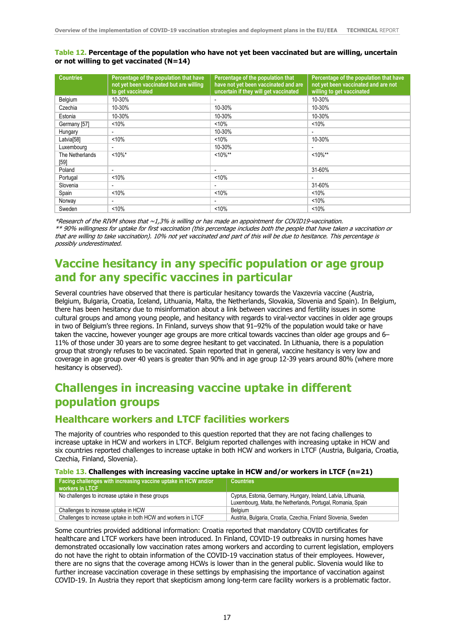#### **Table 12. Percentage of the population who have not yet been vaccinated but are willing, uncertain or not willing to get vaccinated (N=14)**

| <b>Countries</b>        | Percentage of the population that have<br>not yet been vaccinated but are willing<br>to get vaccinated | Percentage of the population that<br>have not yet been vaccinated and are<br>uncertain if they will get vaccinated | Percentage of the population that have<br>not yet been vaccinated and are not<br>willing to get vaccinated |
|-------------------------|--------------------------------------------------------------------------------------------------------|--------------------------------------------------------------------------------------------------------------------|------------------------------------------------------------------------------------------------------------|
| Belgium                 | 10-30%                                                                                                 |                                                                                                                    | 10-30%                                                                                                     |
| Czechia                 | 10-30%                                                                                                 | 10-30%                                                                                                             | 10-30%                                                                                                     |
| Estonia                 | 10-30%                                                                                                 | 10-30%                                                                                                             | 10-30%                                                                                                     |
| Germany [57]            | < 10%                                                                                                  | < 10%                                                                                                              | < 10%                                                                                                      |
| Hungary                 | $\overline{\phantom{0}}$                                                                               | 10-30%                                                                                                             | $\overline{\phantom{0}}$                                                                                   |
| Latvia <sup>[58]</sup>  | < 10%                                                                                                  | $< 10\%$                                                                                                           | 10-30%                                                                                                     |
| Luxembourg              |                                                                                                        | 10-30%                                                                                                             |                                                                                                            |
| The Netherlands<br>[59] | $<10\%$ *                                                                                              | $10\%**$                                                                                                           | $<10\%**$                                                                                                  |
| Poland                  | $\overline{\phantom{0}}$                                                                               |                                                                                                                    | 31-60%                                                                                                     |
| Portugal                | < 10%                                                                                                  | < 10%                                                                                                              |                                                                                                            |
| Slovenia                | -                                                                                                      |                                                                                                                    | 31-60%                                                                                                     |
| Spain                   | < 10%                                                                                                  | < 10%                                                                                                              | < 10%                                                                                                      |
| Norway                  | $\overline{\phantom{a}}$                                                                               | $\overline{\phantom{0}}$                                                                                           | < 10%                                                                                                      |
| Sweden                  | < 10%                                                                                                  | < 10%                                                                                                              | < 10%                                                                                                      |

\*Research of the RIVM shows that ~1,3% is willing or has made an appointment for COVID19-vaccination. \*\* 90% willingness for uptake for first vaccination (this percentage includes both the people that have taken a vaccination or that are willing to take vaccination). 10% not yet vaccinated and part of this will be due to hesitance. This percentage is possibly underestimated.

### **Vaccine hesitancy in any specific population or age group and for any specific vaccines in particular**

Several countries have observed that there is particular hesitancy towards the Vaxzevria vaccine (Austria, Belgium, Bulgaria, Croatia, Iceland, Lithuania, Malta, the Netherlands, Slovakia, Slovenia and Spain). In Belgium, there has been hesitancy due to misinformation about a link between vaccines and fertility issues in some cultural groups and among young people, and hesitancy with regards to viral-vector vaccines in older age groups in two of Belgium's three regions. In Finland, surveys show that 91–92% of the population would take or have taken the vaccine, however younger age groups are more critical towards vaccines than older age groups and 6– 11% of those under 30 years are to some degree hesitant to get vaccinated. In Lithuania, there is a population group that strongly refuses to be vaccinated. Spain reported that in general, vaccine hesitancy is very low and coverage in age group over 40 years is greater than 90% and in age group 12-39 years around 80% (where more hesitancy is observed).

## **Challenges in increasing vaccine uptake in different population groups**

### **Healthcare workers and LTCF facilities workers**

The majority of countries who responded to this question reported that they are not facing challenges to increase uptake in HCW and workers in LTCF. Belgium reported challenges with increasing uptake in HCW and six countries reported challenges to increase uptake in both HCW and workers in LTCF (Austria, Bulgaria, Croatia, Czechia, Finland, Slovenia).

#### **Table 13. Challenges with increasing vaccine uptake in HCW and/or workers in LTCF (n=21)**

| Facing challenges with increasing vaccine uptake in HCW and/or<br>workers in LTCF | <b>Countries</b>                                                                                                               |
|-----------------------------------------------------------------------------------|--------------------------------------------------------------------------------------------------------------------------------|
| No challenges to increase uptake in these groups                                  | Cyprus, Estonia, Germany, Hungary, Ireland, Latvia, Lithuania,<br>Luxembourg, Malta, the Netherlands, Portugal, Romania, Spain |
| Challenges to increase uptake in HCW                                              | Belaium                                                                                                                        |
| Challenges to increase uptake in both HCW and workers in LTCF                     | Austria, Bulgaria, Croatia, Czechia, Finland Slovenia, Sweden                                                                  |

Some countries provided additional information: Croatia reported that mandatory COVID certificates for healthcare and LTCF workers have been introduced. In Finland, COVID-19 outbreaks in nursing homes have demonstrated occasionally low vaccination rates among workers and according to current legislation, employers do not have the right to obtain information of the COVID-19 vaccination status of their employees. However, there are no signs that the coverage among HCWs is lower than in the general public. Slovenia would like to further increase vaccination coverage in these settings by emphasising the importance of vaccination against COVID-19. In Austria they report that skepticism among long-term care facility workers is a problematic factor.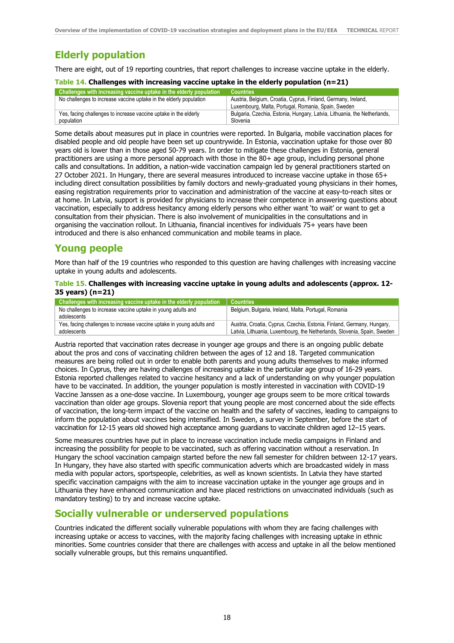### **Elderly population**

There are eight, out of 19 reporting countries, that report challenges to increase vaccine uptake in the elderly.

#### **Table 14. Challenges with increasing vaccine uptake in the elderly population (n=21)**

| Challenges with increasing vaccine uptake in the elderly population | Countries <b>a</b>                                                       |
|---------------------------------------------------------------------|--------------------------------------------------------------------------|
| No challenges to increase vaccine uptake in the elderly population  | Austria, Belgium, Croatia, Cyprus, Finland, Germany, Ireland,            |
|                                                                     | Luxembourg, Malta, Portugal, Romania, Spain, Sweden                      |
| Yes, facing challenges to increase vaccine uptake in the elderly    | Bulgaria, Czechia, Estonia, Hungary, Latvia, Lithuania, the Netherlands, |
| population                                                          | Slovenia                                                                 |

Some details about measures put in place in countries were reported. In Bulgaria, mobile vaccination places for disabled people and old people have been set up countrywide. In Estonia, vaccination uptake for those over 80 years old is lower than in those aged 50-79 years. In order to mitigate these challenges in Estonia, general practitioners are using a more personal approach with those in the 80+ age group, including personal phone calls and consultations. In addition, a nation-wide vaccination campaign led by general practitioners started on 27 October 2021. In Hungary, there are several measures introduced to increase vaccine uptake in those 65+ including direct consultation possibilities by family doctors and newly-graduated young physicians in their homes, easing registration requirements prior to vaccination and administration of the vaccine at easy-to-reach sites or at home. In Latvia, support is provided for physicians to increase their competence in answering questions about vaccination, especially to address hesitancy among elderly persons who either want 'to wait' or want to get a consultation from their physician. There is also involvement of municipalities in the consultations and in organising the vaccination rollout. In Lithuania, financial incentives for individuals 75+ years have been introduced and there is also enhanced communication and mobile teams in place.

### **Young people**

More than half of the 19 countries who responded to this question are having challenges with increasing vaccine uptake in young adults and adolescents.

#### **Table 15. Challenges with increasing vaccine uptake in young adults and adolescents (approx. 12- 35 years) (n=21)**

| Challenges with increasing vaccine uptake in the elderly population                  | <b>Countries</b>                                                                                                                                  |
|--------------------------------------------------------------------------------------|---------------------------------------------------------------------------------------------------------------------------------------------------|
| No challenges to increase vaccine uptake in young adults and<br>adolescents          | Belgium, Bulgaria, Ireland, Malta, Portugal, Romania                                                                                              |
| Yes, facing challenges to increase vaccine uptake in young adults and<br>adolescents | Austria, Croatia, Cyprus, Czechia, Estonia, Finland, Germany, Hungary,<br>Latvia, Lithuania, Luxembourg, the Netherlands, Slovenia, Spain, Sweden |

Austria reported that vaccination rates decrease in younger age groups and there is an ongoing public debate about the pros and cons of vaccinating children between the ages of 12 and 18. Targeted communication measures are being rolled out in order to enable both parents and young adults themselves to make informed choices. In Cyprus, they are having challenges of increasing uptake in the particular age group of 16-29 years. Estonia reported challenges related to vaccine hesitancy and a lack of understanding on why younger population have to be vaccinated. In addition, the younger population is mostly interested in vaccination with COVID-19 Vaccine Janssen as a one-dose vaccine. In Luxembourg, younger age groups seem to be more critical towards vaccination than older age groups. Slovenia report that young people are most concerned about the side effects of vaccination, the long-term impact of the vaccine on health and the safety of vaccines, leading to campaigns to inform the population about vaccines being intensified. In Sweden, a survey in September, before the start of vaccination for 12-15 years old showed high acceptance among guardians to vaccinate children aged 12–15 years.

Some measures countries have put in place to increase vaccination include media campaigns in Finland and increasing the possibility for people to be vaccinated, such as offering vaccination without a reservation. In Hungary the school vaccination campaign started before the new fall semester for children between 12-17 years. In Hungary, they have also started with specific communication adverts which are broadcasted widely in mass media with popular actors, sportspeople, celebrities, as well as known scientists. In Latvia they have started specific vaccination campaigns with the aim to increase vaccination uptake in the younger age groups and in Lithuania they have enhanced communication and have placed restrictions on unvaccinated individuals (such as mandatory testing) to try and increase vaccine uptake.

### **Socially vulnerable or underserved populations**

Countries indicated the different socially vulnerable populations with whom they are facing challenges with increasing uptake or access to vaccines, with the majority facing challenges with increasing uptake in ethnic minorities. Some countries consider that there are challenges with access and uptake in all the below mentioned socially vulnerable groups, but this remains unquantified.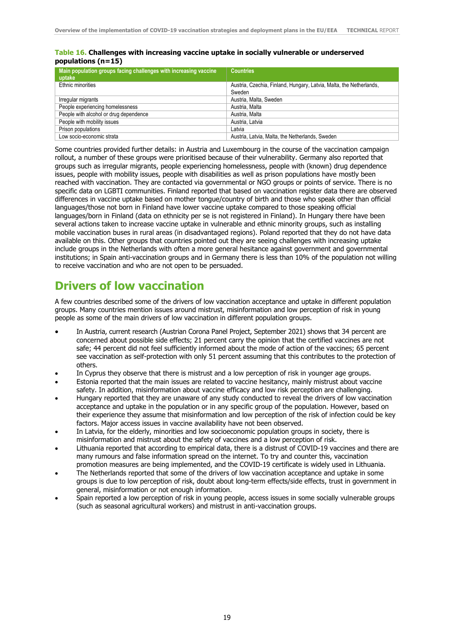#### **Table 16. Challenges with increasing vaccine uptake in socially vulnerable or underserved populations (n=15)**

| Main population groups facing challenges with increasing vaccine<br>uptake | <b>Countries</b>                                                    |
|----------------------------------------------------------------------------|---------------------------------------------------------------------|
| Ethnic minorities                                                          | Austria, Czechia, Finland, Hungary, Latvia, Malta, the Netherlands, |
|                                                                            | Sweden                                                              |
| Irregular migrants                                                         | Austria, Malta, Sweden                                              |
| People experiencing homelessness                                           | Austria, Malta                                                      |
| People with alcohol or drug dependence                                     | Austria, Malta                                                      |
| People with mobility issues                                                | Austria, Latvia                                                     |
| Prison populations                                                         | Latvia                                                              |
| Low socio-economic strata                                                  | Austria, Latvia, Malta, the Netherlands, Sweden                     |

Some countries provided further details: in Austria and Luxembourg in the course of the vaccination campaign rollout, a number of these groups were prioritised because of their vulnerability. Germany also reported that groups such as irregular migrants, people experiencing homelessness, people with (known) drug dependence issues, people with mobility issues, people with disabilities as well as prison populations have mostly been reached with vaccination. They are contacted via governmental or NGO groups or points of service. There is no specific data on LGBTI communities. Finland reported that based on vaccination register data there are observed differences in vaccine uptake based on mother tongue/country of birth and those who speak other than official languages/those not born in Finland have lower vaccine uptake compared to those speaking official languages/born in Finland (data on ethnicity per se is not registered in Finland). In Hungary there have been several actions taken to increase vaccine uptake in vulnerable and ethnic minority groups, such as installing mobile vaccination buses in rural areas (in disadvantaged regions). Poland reported that they do not have data available on this. Other groups that countries pointed out they are seeing challenges with increasing uptake include groups in the Netherlands with often a more general hesitance against government and governmental institutions; in Spain anti-vaccination groups and in Germany there is less than 10% of the population not willing to receive vaccination and who are not open to be persuaded.

## **Drivers of low vaccination**

A few countries described some of the drivers of low vaccination acceptance and uptake in different population groups. Many countries mention issues around mistrust, misinformation and low perception of risk in young people as some of the main drivers of low vaccination in different population groups.

- In Austria, current research (Austrian Corona Panel Project, September 2021) shows that 34 percent are concerned about possible side effects; 21 percent carry the opinion that the certified vaccines are not safe; 44 percent did not feel sufficiently informed about the mode of action of the vaccines; 65 percent see vaccination as self-protection with only 51 percent assuming that this contributes to the protection of others.
- In Cyprus they observe that there is mistrust and a low perception of risk in younger age groups.
- Estonia reported that the main issues are related to vaccine hesitancy, mainly mistrust about vaccine safety. In addition, misinformation about vaccine efficacy and low risk perception are challenging.
- Hungary reported that they are unaware of any study conducted to reveal the drivers of low vaccination acceptance and uptake in the population or in any specific group of the population. However, based on their experience they assume that misinformation and low perception of the risk of infection could be key factors. Major access issues in vaccine availability have not been observed.
- In Latvia, for the elderly, minorities and low socioeconomic population groups in society, there is misinformation and mistrust about the safety of vaccines and a low perception of risk.
- Lithuania reported that according to empirical data, there is a distrust of COVID-19 vaccines and there are many rumours and false information spread on the internet. To try and counter this, vaccination promotion measures are being implemented, and the COVID-19 certificate is widely used in Lithuania.
- The Netherlands reported that some of the drivers of low vaccination acceptance and uptake in some groups is due to low perception of risk, doubt about long-term effects/side effects, trust in government in general, misinformation or not enough information.
- Spain reported a low perception of risk in young people, access issues in some socially vulnerable groups (such as seasonal agricultural workers) and mistrust in anti-vaccination groups.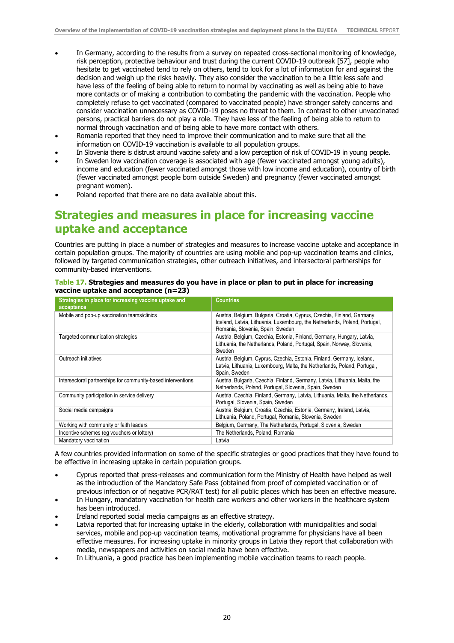- In Germany, according to the results from a survey on repeated cross-sectional monitoring of knowledge, risk perception, protective behaviour and trust during the current COVID-19 outbreak [57], people who hesitate to get vaccinated tend to rely on others, tend to look for a lot of information for and against the decision and weigh up the risks heavily. They also consider the vaccination to be a little less safe and have less of the feeling of being able to return to normal by vaccinating as well as being able to have more contacts or of making a contribution to combating the pandemic with the vaccination. People who completely refuse to get vaccinated (compared to vaccinated people) have stronger safety concerns and consider vaccination unnecessary as COVID-19 poses no threat to them. In contrast to other unvaccinated persons, practical barriers do not play a role. They have less of the feeling of being able to return to normal through vaccination and of being able to have more contact with others.
- Romania reported that they need to improve their communication and to make sure that all the information on COVID-19 vaccination is available to all population groups.
- In Slovenia there is distrust around vaccine safety and a low perception of risk of COVID-19 in young people.
- In Sweden low vaccination coverage is associated with age (fewer vaccinated amongst young adults), income and education (fewer vaccinated amongst those with low income and education), country of birth (fewer vaccinated amongst people born outside Sweden) and pregnancy (fewer vaccinated amongst pregnant women).
- Poland reported that there are no data available about this.

### **Strategies and measures in place for increasing vaccine uptake and acceptance**

Countries are putting in place a number of strategies and measures to increase vaccine uptake and acceptance in certain population groups. The majority of countries are using mobile and pop-up vaccination teams and clinics, followed by targeted communication strategies, other outreach initiatives, and intersectoral partnerships for community-based interventions.

#### **Table 17. Strategies and measures do you have in place or plan to put in place for increasing vaccine uptake and acceptance (n=23)**

| Strategies in place for increasing vaccine uptake and<br>acceptance | <b>Countries</b>                                                                                                                                                                          |
|---------------------------------------------------------------------|-------------------------------------------------------------------------------------------------------------------------------------------------------------------------------------------|
| Mobile and pop-up vaccination teams/clinics                         | Austria, Belgium, Bulgaria, Croatia, Cyprus, Czechia, Finland, Germany,<br>Iceland, Latvia, Lithuania, Luxembourg, the Netherlands, Poland, Portugal,<br>Romania, Slovenia, Spain, Sweden |
| Targeted communication strategies                                   | Austria, Belgium, Czechia, Estonia, Finland, Germany, Hungary, Latvia,<br>Lithuania, the Netherlands, Poland, Portugal, Spain, Norway, Slovenia,<br>Sweden                                |
| Outreach initiatives                                                | Austria, Belgium, Cyprus, Czechia, Estonia, Finland, Germany, Iceland,<br>Latvia, Lithuania, Luxembourg, Malta, the Netherlands, Poland, Portugal,<br>Spain, Sweden                       |
| Intersectoral partnerships for community-based interventions        | Austria, Bulgaria, Czechia, Finland, Germany, Latvia, Lithuania, Malta, the<br>Netherlands, Poland, Portugal, Slovenia, Spain, Sweden                                                     |
| Community participation in service delivery                         | Austria, Czechia, Finland, Germany, Latvia, Lithuania, Malta, the Netherlands,<br>Portugal, Slovenia, Spain, Sweden                                                                       |
| Social media campaigns                                              | Austria, Belgium, Croatia, Czechia, Estonia, Germany, Ireland, Latvia,<br>Lithuania, Poland, Portugal, Romania, Slovenia, Sweden                                                          |
| Working with community or faith leaders                             | Belgium, Germany, The Netherlands, Portugal, Slovenia, Sweden                                                                                                                             |
| Incentive schemes (eq vouchers or lottery)                          | The Netherlands, Poland, Romania                                                                                                                                                          |
| Mandatory vaccination                                               | Latvia                                                                                                                                                                                    |

A few countries provided information on some of the specific strategies or good practices that they have found to be effective in increasing uptake in certain population groups.

- Cyprus reported that press-releases and communication form the Ministry of Health have helped as well as the introduction of the Mandatory Safe Pass (obtained from proof of completed vaccination or of previous infection or of negative PCR/RAT test) for all public places which has been an effective measure.
- In Hungary, mandatory vaccination for health care workers and other workers in the healthcare system has been introduced.
- Ireland reported social media campaigns as an effective strategy.
- Latvia reported that for increasing uptake in the elderly, collaboration with municipalities and social services, mobile and pop-up vaccination teams, motivational programme for physicians have all been effective measures. For increasing uptake in minority groups in Latvia they report that collaboration with media, newspapers and activities on social media have been effective.
- In Lithuania, a good practice has been implementing mobile vaccination teams to reach people.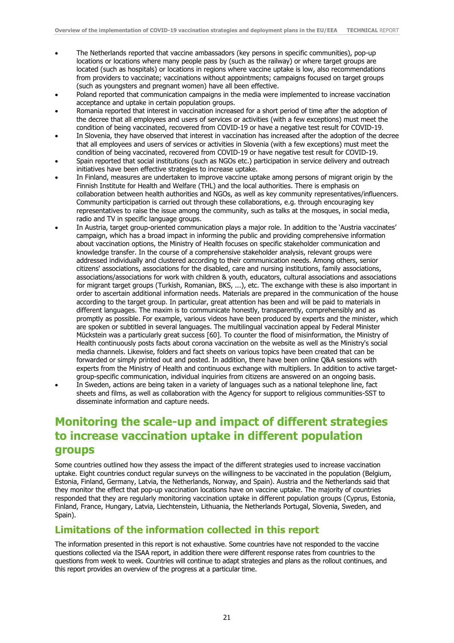- The Netherlands reported that vaccine ambassadors (key persons in specific communities), pop-up locations or locations where many people pass by (such as the railway) or where target groups are located (such as hospitals) or locations in regions where vaccine uptake is low, also recommendations from providers to vaccinate; vaccinations without appointments; campaigns focused on target groups (such as youngsters and pregnant women) have all been effective.
- Poland reported that communication campaigns in the media were implemented to increase vaccination acceptance and uptake in certain population groups.
- Romania reported that interest in vaccination increased for a short period of time after the adoption of the decree that all employees and users of services or activities (with a few exceptions) must meet the condition of being vaccinated, recovered from COVID-19 or have a negative test result for COVID-19.
- In Slovenia, they have observed that interest in vaccination has increased after the adoption of the decree that all employees and users of services or activities in Slovenia (with a few exceptions) must meet the condition of being vaccinated, recovered from COVID-19 or have negative test result for COVID-19.
- Spain reported that social institutions (such as NGOs etc.) participation in service delivery and outreach initiatives have been effective strategies to increase uptake.
- In Finland, measures are undertaken to improve vaccine uptake among persons of migrant origin by the Finnish Institute for Health and Welfare (THL) and the local authorities. There is emphasis on collaboration between health authorities and NGOs, as well as key community representatives/influencers. Community participation is carried out through these collaborations, e.g. through encouraging key representatives to raise the issue among the community, such as talks at the mosques, in social media, radio and TV in specific language groups.
- In Austria, target group-oriented communication plays a major role. In addition to the 'Austria vaccinates' campaign, which has a broad impact in informing the public and providing comprehensive information about vaccination options, the Ministry of Health focuses on specific stakeholder communication and knowledge transfer. In the course of a comprehensive stakeholder analysis, relevant groups were addressed individually and clustered according to their communication needs. Among others, senior citizens' associations, associations for the disabled, care and nursing institutions, family associations, associations/associations for work with children & youth, educators, cultural associations and associations for migrant target groups (Turkish, Romanian, BKS, ...), etc. The exchange with these is also important in order to ascertain additional information needs. Materials are prepared in the communication of the house according to the target group. In particular, great attention has been and will be paid to materials in different languages. The maxim is to communicate honestly, transparently, comprehensibly and as promptly as possible. For example, various videos have been produced by experts and the minister, which are spoken or subtitled in several languages. The multilingual vaccination appeal by Federal Minister Mückstein was a particularly great success [60]. To counter the flood of misinformation, the Ministry of Health continuously posts facts about corona vaccination on the website as well as the Ministry's social media channels. Likewise, folders and fact sheets on various topics have been created that can be forwarded or simply printed out and posted. In addition, there have been online Q&A sessions with experts from the Ministry of Health and continuous exchange with multipliers. In addition to active targetgroup-specific communication, individual inquiries from citizens are answered on an ongoing basis.
	- In Sweden, actions are being taken in a variety of languages such as a national telephone line, fact sheets and films, as well as collaboration with the Agency for support to religious communities-SST to disseminate information and capture needs.

### **Monitoring the scale-up and impact of different strategies to increase vaccination uptake in different population groups**

Some countries outlined how they assess the impact of the different strategies used to increase vaccination uptake. Eight countries conduct regular surveys on the willingness to be vaccinated in the population (Belgium, Estonia, Finland, Germany, Latvia, the Netherlands, Norway, and Spain). Austria and the Netherlands said that they monitor the effect that pop-up vaccination locations have on vaccine uptake. The majority of countries responded that they are regularly monitoring vaccination uptake in different population groups (Cyprus, Estonia, Finland, France, Hungary, Latvia, Liechtenstein, Lithuania, the Netherlands Portugal, Slovenia, Sweden, and Spain).

### **Limitations of the information collected in this report**

The information presented in this report is not exhaustive. Some countries have not responded to the vaccine questions collected via the ISAA report, in addition there were different response rates from countries to the questions from week to week. Countries will continue to adapt strategies and plans as the rollout continues, and this report provides an overview of the progress at a particular time.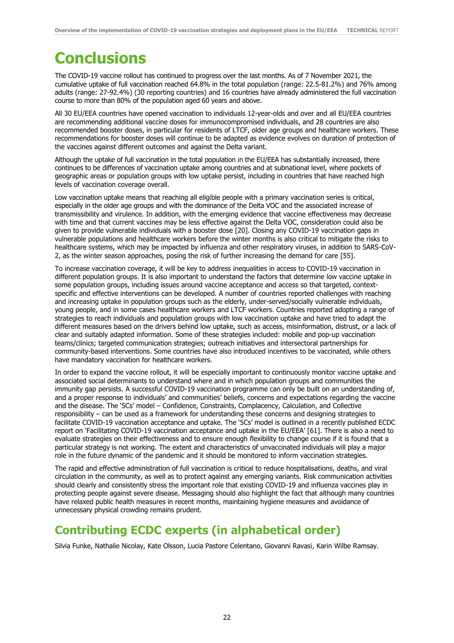# **Conclusions**

The COVID-19 vaccine rollout has continued to progress over the last months. As of 7 November 2021, the cumulative uptake of full vaccination reached 64.8% in the total population (range: 22.5-81.2%) and 76% among adults (range: 27-92.4%) (30 reporting countries) and 16 countries have already administered the full vaccination course to more than 80% of the population aged 60 years and above.

All 30 EU/EEA countries have opened vaccination to individuals 12-year-olds and over and all EU/EEA countries are recommending additional vaccine doses for immunocompromised individuals, and 28 countries are also recommended booster doses, in particular for residents of LTCF, older age groups and healthcare workers. These recommendations for booster doses will continue to be adapted as evidence evolves on duration of protection of the vaccines against different outcomes and against the Delta variant.

Although the uptake of full vaccination in the total population in the EU/EEA has substantially increased, there continues to be differences of vaccination uptake among countries and at subnational level, where pockets of geographic areas or population groups with low uptake persist, including in countries that have reached high levels of vaccination coverage overall.

Low vaccination uptake means that reaching all eligible people with a primary vaccination series is critical, especially in the older age groups and with the dominance of the Delta VOC and the associated increase of transmissibility and virulence. In addition, with the emerging evidence that vaccine effectiveness may decrease with time and that current vaccines may be less effective against the Delta VOC, consideration could also be given to provide vulnerable individuals with a booster dose [20]. Closing any COVID-19 vaccination gaps in vulnerable populations and healthcare workers before the winter months is also critical to mitigate the risks to healthcare systems, which may be impacted by influenza and other respiratory viruses, in addition to SARS-CoV-2, as the winter season approaches, posing the risk of further increasing the demand for care [55].

To increase vaccination coverage, it will be key to address inequalities in access to COVID-19 vaccination in different population groups. It is also important to understand the factors that determine low vaccine uptake in some population groups, including issues around vaccine acceptance and access so that targeted, contextspecific and effective interventions can be developed. A number of countries reported challenges with reaching and increasing uptake in population groups such as the elderly, under-served/socially vulnerable individuals, young people, and in some cases healthcare workers and LTCF workers. Countries reported adopting a range of strategies to reach individuals and population groups with low vaccination uptake and have tried to adapt the different measures based on the drivers behind low uptake, such as access, misinformation, distrust, or a lack of clear and suitably adapted information. Some of these strategies included: mobile and pop-up vaccination teams/clinics; targeted communication strategies; outreach initiatives and intersectoral partnerships for community-based interventions. Some countries have also introduced incentives to be vaccinated, while others have mandatory vaccination for healthcare workers.

In order to expand the vaccine rollout, it will be especially important to continuously monitor vaccine uptake and associated social determinants to understand where and in which population groups and communities the immunity gap persists. A successful COVID-19 vaccination programme can only be built on an understanding of, and a proper response to individuals' and communities' beliefs, concerns and expectations regarding the vaccine and the disease. The '5Cs' model – Confidence, Constraints, Complacency, Calculation, and Collective responsibility – can be used as a framework for understanding these concerns and designing strategies to facilitate COVID-19 vaccination acceptance and uptake. The '5Cs' model is outlined in a recently published ECDC report on 'Facilitating COVID-19 vaccination acceptance and uptake in the EU/EEA' [61]. There is also a need to evaluate strategies on their effectiveness and to ensure enough flexibility to change course if it is found that a particular strategy is not working. The extent and characteristics of unvaccinated individuals will play a major role in the future dynamic of the pandemic and it should be monitored to inform vaccination strategies.

The rapid and effective administration of full vaccination is critical to reduce hospitalisations, deaths, and viral circulation in the community, as well as to protect against any emerging variants. Risk communication activities should clearly and consistently stress the important role that existing COVID-19 and influenza vaccines play in protecting people against severe disease. Messaging should also highlight the fact that although many countries have relaxed public health measures in recent months, maintaining hygiene measures and avoidance of unnecessary physical crowding remains prudent.

### **Contributing ECDC experts (in alphabetical order)**

Silvia Funke, Nathalie Nicolay, Kate Olsson, Lucia Pastore Celentano, Giovanni Ravasi, Karin Wilbe Ramsay.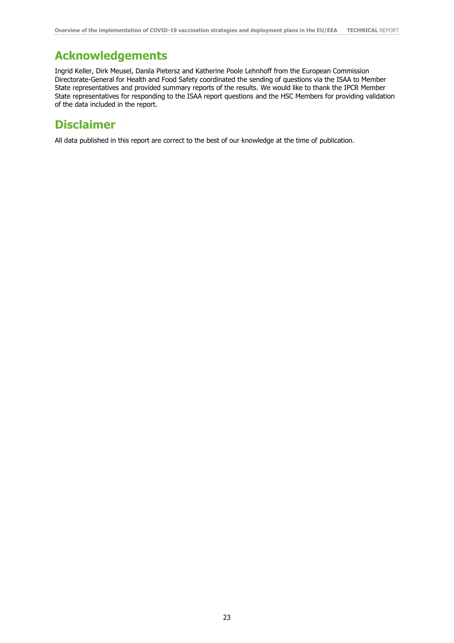## **Acknowledgements**

Ingrid Keller, Dirk Meusel, Danila Pietersz and Katherine Poole Lehnhoff from the European Commission Directorate-General for Health and Food Safety coordinated the sending of questions via the ISAA to Member State representatives and provided summary reports of the results. We would like to thank the IPCR Member State representatives for responding to the ISAA report questions and the HSC Members for providing validation of the data included in the report.

## **Disclaimer**

All data published in this report are correct to the best of our knowledge at the time of publication.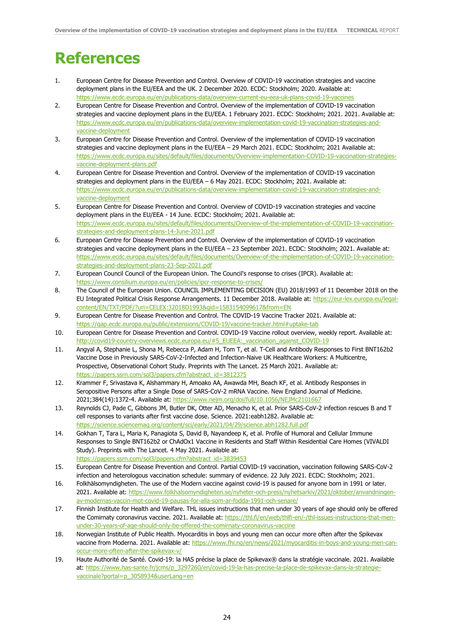## **References**

- 1. European Centre for Disease Prevention and Control. Overview of COVID-19 vaccination strategies and vaccine deployment plans in the EU/EEA and the UK. 2 December 2020. ECDC: Stockholm; 2020. Available at: <https://www.ecdc.europa.eu/en/publications-data/overview-current-eu-eea-uk-plans-covid-19-vaccines>
- 2. European Centre for Disease Prevention and Control. Overview of the implementation of COVID-19 vaccination strategies and vaccine deployment plans in the EU/EEA. 1 February 2021. ECDC: Stockholm; 2021. 2021. Available at: [https://www.ecdc.europa.eu/en/publications-data/overview-implementation-covid-19-vaccination-strategies-and](https://www.ecdc.europa.eu/en/publications-data/overview-implementation-covid-19-vaccination-strategies-and-vaccine-deployment)[vaccine-deployment](https://www.ecdc.europa.eu/en/publications-data/overview-implementation-covid-19-vaccination-strategies-and-vaccine-deployment)
- 3. European Centre for Disease Prevention and Control. Overview of the implementation of COVID-19 vaccination strategies and vaccine deployment plans in the EU/EEA – 29 March 2021. ECDC: Stockholm; 2021 Available at: [https://www.ecdc.europa.eu/sites/default/files/documents/Overview-implementation-COVID-19-vaccination-strategies](https://www.ecdc.europa.eu/sites/default/files/documents/Overview-implementation-COVID-19-vaccination-strategies-vaccine-deployment-plans.pdf)[vaccine-deployment-plans.pdf](https://www.ecdc.europa.eu/sites/default/files/documents/Overview-implementation-COVID-19-vaccination-strategies-vaccine-deployment-plans.pdf)
- 4. European Centre for Disease Prevention and Control. Overview of the implementation of COVID-19 vaccination strategies and deployment plans in the EU/EEA – 6 May 2021. ECDC: Stockholm; 2021. Available at: [https://www.ecdc.europa.eu/en/publications-data/overview-implementation-covid-19-vaccination-strategies-and](https://www.ecdc.europa.eu/en/publications-data/overview-implementation-covid-19-vaccination-strategies-and-vaccine-deployment)[vaccine-deployment](https://www.ecdc.europa.eu/en/publications-data/overview-implementation-covid-19-vaccination-strategies-and-vaccine-deployment)
- 5. European Centre for Disease Prevention and Control. Overview of COVID-19 vaccination strategies and vaccine deployment plans in the EU/EEA - 14 June. ECDC: Stockholm; 2021. Available at: [https://www.ecdc.europa.eu/sites/default/files/documents/Overview-of-the-implementation-of-COVID-19-vaccination](https://www.ecdc.europa.eu/sites/default/files/documents/Overview-of-the-implementation-of-COVID-19-vaccination-strategies-and-deployment-plans-14-June-2021.pdf)[strategies-and-deployment-plans-14-June-2021.pdf](https://www.ecdc.europa.eu/sites/default/files/documents/Overview-of-the-implementation-of-COVID-19-vaccination-strategies-and-deployment-plans-14-June-2021.pdf)
- 6. European Centre for Disease Prevention and Control. Overview of the implementation of COVID-19 vaccination strategies and vaccine deployment plans in the EU/EEA – 23 September 2021. ECDC: Stockholm; 2021. Available at: [https://www.ecdc.europa.eu/sites/default/files/documents/Overview-of-the-implementation-of-COVID-19-vaccination](https://www.ecdc.europa.eu/sites/default/files/documents/Overview-of-the-implementation-of-COVID-19-vaccination-strategies-and-deployment-plans-23-Sep-2021.pdf)[strategies-and-deployment-plans-23-Sep-2021.pdf](https://www.ecdc.europa.eu/sites/default/files/documents/Overview-of-the-implementation-of-COVID-19-vaccination-strategies-and-deployment-plans-23-Sep-2021.pdf)
- 7. European Council Council of the European Union. The Council's response to crises (IPCR). Available at: <https://www.consilium.europa.eu/en/policies/ipcr-response-to-crises/>
- 8. The Council of the European Union. COUNCIL IMPLEMENTING DECISION (EU) 2018/1993 of 11 December 2018 on the EU Integrated Political Crisis Response Arrangements. 11 December 2018. Available at: [https://eur-lex.europa.eu/legal](https://eur-lex.europa.eu/legal-content/EN/TXT/PDF/?uri=CELEX:32018D1993&qid=1583154099617&from=EN)[content/EN/TXT/PDF/?uri=CELEX:32018D1993&qid=1583154099617&from=EN](https://eur-lex.europa.eu/legal-content/EN/TXT/PDF/?uri=CELEX:32018D1993&qid=1583154099617&from=EN)
- 9. European Centre for Disease Prevention and Control. The COVID-19 Vaccine Tracker 2021. Available at: [https://qap.ecdc.europa.eu/public/extensions/COVID-19/vaccine-tracker.html#uptake-tab](https://qap.ecdc.europa.eu/public/extensions/COVID-19/vaccine-tracker.html%23uptake-tab)
- 10. European Centre for Disease Prevention and Control. COVID-19 Vaccine rollout overview, weekly report. Available at: [http://covid19-country-overviews.ecdc.europa.eu/#5\\_EUEEA:\\_vaccination\\_against\\_COVID-19](http://covid19-country-overviews.ecdc.europa.eu/#5_EUEEA:_vaccination_against_COVID-19)
- 11. Angyal A, Stephanie L, Shona M, Rebecca P, Adam H, Tom T, et al. T-Cell and Antibody Responses to First BNT162b2 Vaccine Dose in Previously SARS-CoV-2-Infected and Infection-Naive UK Healthcare Workers: A Multicentre, Prospective, Observational Cohort Study. Preprints with The Lancet. 25 March 2021. Available at: [https://papers.ssrn.com/sol3/papers.cfm?abstract\\_id=3812375](https://papers.ssrn.com/sol3/papers.cfm?abstract_id=3812375)
- 12. Krammer F, Srivastava K, Alshammary H, Amoako AA, Awawda MH, Beach KF, et al. Antibody Responses in Seropositive Persons after a Single Dose of SARS-CoV-2 mRNA Vaccine. New England Journal of Medicine. 2021;384(14):1372-4. Available at:<https://www.nejm.org/doi/full/10.1056/NEJMc2101667>
- 13. Reynolds CJ, Pade C, Gibbons JM, Butler DK, Otter AD, Menacho K, et al. Prior SARS-CoV-2 infection rescues B and T cell responses to variants after first vaccine dose. Science. 2021:eabh1282. Available at: <https://science.sciencemag.org/content/sci/early/2021/04/29/science.abh1282.full.pdf>
- 14. Gokhan T, Tara L, Maria K, Panagiota S, David B, Nayandeep K, et al. Profile of Humoral and Cellular Immune Responses to Single BNT162b2 or ChAdOx1 Vaccine in Residents and Staff Within Residential Care Homes (VIVALDI Study). Preprints with The Lancet. 4 May 2021. Available at: [https://papers.ssrn.com/sol3/papers.cfm?abstract\\_id=3839453](https://papers.ssrn.com/sol3/papers.cfm?abstract_id=3839453)
- 15. European Centre for Disease Prevention and Control. Partial COVID-19 vaccination, vaccination following SARS-CoV-2 infection and heterologous vaccination schedule: summary of evidence. 22 July 2021. ECDC: Stockholm; 2021.
- 16. Folkhälsomyndigheten. The use of the Modern vaccine against covid-19 is paused for anyone born in 1991 or later. 2021. Available at[: https://www.folkhalsomyndigheten.se/nyheter-och-press/nyhetsarkiv/2021/oktober/anvandningen](https://www.folkhalsomyndigheten.se/nyheter-och-press/nyhetsarkiv/2021/oktober/anvandningen-av-modernas-vaccin-mot-covid-19-pausas-for-alla-som-ar-fodda-1991-och-senare/)[av-modernas-vaccin-mot-covid-19-pausas-for-alla-som-ar-fodda-1991-och-senare/](https://www.folkhalsomyndigheten.se/nyheter-och-press/nyhetsarkiv/2021/oktober/anvandningen-av-modernas-vaccin-mot-covid-19-pausas-for-alla-som-ar-fodda-1991-och-senare/)
- 17. Finnish Institute for Health and Welfare. THL issues instructions that men under 30 years of age should only be offered the Comirnaty coronavirus vaccine. 2021. Available at: [https://thl.fi/en/web/thlfi-en/-/thl-issues-instructions-that-men](https://thl.fi/en/web/thlfi-en/-/thl-issues-instructions-that-men-under-30-years-of-age-should-only-be-offered-the-comirnaty-coronavirus-vaccine)[under-30-years-of-age-should-only-be-offered-the-comirnaty-coronavirus-vaccine](https://thl.fi/en/web/thlfi-en/-/thl-issues-instructions-that-men-under-30-years-of-age-should-only-be-offered-the-comirnaty-coronavirus-vaccine)
- 18. Norwegian Institute of Public Health. Myocarditis in boys and young men can occur more often after the Spikevax vaccine from Moderna. 2021. Available at: [https://www.fhi.no/en/news/2021/myocarditis-in-boys-and-young-men-can](https://www.fhi.no/en/news/2021/myocarditis-in-boys-and-young-men-can-occur-more-often-after-the-spikevax-v/)[occur-more-often-after-the-spikevax-v/](https://www.fhi.no/en/news/2021/myocarditis-in-boys-and-young-men-can-occur-more-often-after-the-spikevax-v/)
- 19. Haute Authorité de Santé. Covid-19: la HAS précise la place de Spikevax® dans la stratégie vaccinale. 2021. Available at[: https://www.has-sante.fr/jcms/p\\_3297260/en/covid-19-la-has-precise-la-place-de-spikevax-dans-la-strategie](https://www.has-sante.fr/jcms/p_3297260/en/covid-19-la-has-precise-la-place-de-spikevax-dans-la-strategie-vaccinale?portal=p_3058934&userLang=en)[vaccinale?portal=p\\_3058934&userLang=en](https://www.has-sante.fr/jcms/p_3297260/en/covid-19-la-has-precise-la-place-de-spikevax-dans-la-strategie-vaccinale?portal=p_3058934&userLang=en)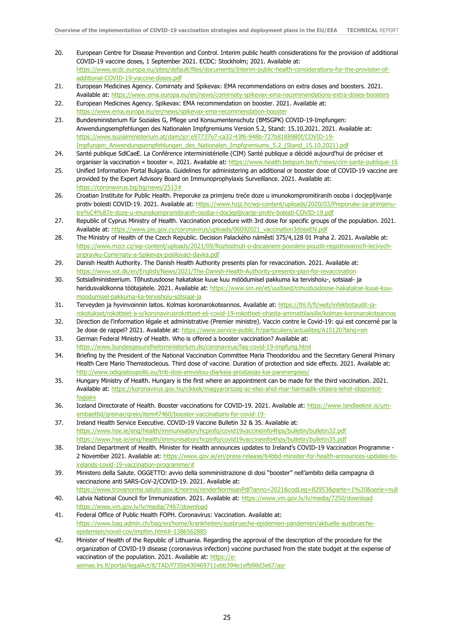- 20. European Centre for Disease Prevention and Control. Interim public health considerations for the provision of additional COVID-19 vaccine doses, 1 September 2021. ECDC: Stockholm; 2021. Available at: [https://www.ecdc.europa.eu/sites/default/files/documents/Interim-public-health-considerations-for-the-provision-of](https://www.ecdc.europa.eu/sites/default/files/documents/Interim-public-health-considerations-for-the-provision-of-additional-COVID-19-vaccine-doses.pdf)[additional-COVID-19-vaccine-doses.pdf](https://www.ecdc.europa.eu/sites/default/files/documents/Interim-public-health-considerations-for-the-provision-of-additional-COVID-19-vaccine-doses.pdf)
- 21. European Medicines Agency. Comirnaty and Spikevax: EMA recommendations on extra doses and boosters. 2021. Available at:<https://www.ema.europa.eu/en/news/comirnaty-spikevax-ema-recommendations-extra-doses-boosters>
- 22. European Medicines Agency. Spikevax: EMA recommendation on booster. 2021. Available at: <https://www.ema.europa.eu/en/news/spikevax-ema-recommendation-booster>
- 23. Bundesministerium für Soziales G, Pflege und Konsumentenschutz (BMSGPK) COVID-19-Impfungen: Anwendungsempfehlungen des Nationalen Impfgremiums Version 5.2, Stand: 15.10.2021. 2021. Available at: [https://www.sozialministerium.at/dam/jcr:e97737e7-ca32-43f6-948b-727b8188980f/COVID-19-](https://www.sozialministerium.at/dam/jcr:e97737e7-ca32-43f6-948b-727b8188980f/COVID-19-Impfungen_Anwendungsempfehlungen_des_Nationalen_Impfgremiums_5.2_(Stand_15.10.2021).pdf) Impfungen\_Anwendungsempfehlungen\_des\_Nationalen\_Impfgremiums\_5.2 (Stand\_15.10.2021).pdf
- 24. Santé publique SdlCaeE. La Conférence interministérielle (CIM) Santé publique a décidé aujourd'hui de préciser et organiser la vaccination « booster ». 2021. Available at: <https://www.health.belgium.be/fr/news/cim-sante-publique-16>
- 25. Unified Information Portal Bulgaria. Guidelines for administering an additional or booster dose of COVID-19 vaccine are provided by the Expert Advisory Board on Immunoprophylaxis Surveillance. 2021. Available at: [https://coronavirus.bg/bg/news/2513#](https://coronavirus.bg/bg/news/2513)
- 26. Croatian Institute for Public Health. Preporuke za primjenu treće doze u imunokompromitiranih osoba i docjepljivanje protiv bolesti COVID-19. 2021. Available at: [https://www.hzjz.hr/wp-content/uploads/2020/03/Preporuke-za-primjenu](https://www.hzjz.hr/wp-content/uploads/2020/03/Preporuke-za-primjenu-tre%C4%87e-doze-u-imunokompromitiranih-osoba-i-docjepljivanje-protiv-bolesti-COVID-19.pdf)[tre%C4%87e-doze-u-imunokompromitiranih-osoba-i-docjepljivanje-protiv-bolesti-COVID-19.pdf](https://www.hzjz.hr/wp-content/uploads/2020/03/Preporuke-za-primjenu-tre%C4%87e-doze-u-imunokompromitiranih-osoba-i-docjepljivanje-protiv-bolesti-COVID-19.pdf)
- 27. Republic of Cyprus Ministry of Health. Vaccination procedure with 3rd dose for specific groups of the population. 2021. Available at: [https://www.pio.gov.cy/coronavirus/uploads/06092021\\_vaccination3doseEN.pdf](https://www.pio.gov.cy/coronavirus/uploads/06092021_vaccination3doseEN.pdf)
- 28. The Ministry of Health of the Czech Republic. Decision Palackého náměstí 375/4,128 01 Praha 2. 2021. Available at: [https://www.mzcr.cz/wp-content/uploads/2021/09/Rozhodnuti-o-docasnem-povoleni-pouziti-registrovanych-lecivych](https://www.mzcr.cz/wp-content/uploads/2021/09/Rozhodnuti-o-docasnem-povoleni-pouziti-registrovanych-lecivych-pripravku-Comirnaty-a-Spikevax-posilovaci-davka.pdf)[pripravku-Comirnaty-a-Spikevax-posilovaci-davka.pdf](https://www.mzcr.cz/wp-content/uploads/2021/09/Rozhodnuti-o-docasnem-povoleni-pouziti-registrovanych-lecivych-pripravku-Comirnaty-a-Spikevax-posilovaci-davka.pdf)
- 29. Danish Health Authority. The Danish Health Authority presents plan for revaccination. 2021. Available at: <https://www.sst.dk/en/English/News/2021/The-Danish-Health-Authority-presents-plan-for-revaccination>
- 30. Sotsiallministeerium. Tõhustusdoose hakatakse kuue kuu möödumisel pakkuma ka tervishoiu-, sotsiaal- ja haridusvaldkonna töötajatele. 2021. Available at: [https://www.sm.ee/et/uudised/tohustusdoose-hakatakse-kuue-kuu](https://www.sm.ee/et/uudised/tohustusdoose-hakatakse-kuue-kuu-moodumisel-pakkuma-ka-tervishoiu-sotsiaal-ja)[moodumisel-pakkuma-ka-tervishoiu-sotsiaal-ja](https://www.sm.ee/et/uudised/tohustusdoose-hakatakse-kuue-kuu-moodumisel-pakkuma-ka-tervishoiu-sotsiaal-ja)
- 31. Terveyden ja hyvinvoinnin laitos. Kolmas koronarokoteannos. Available at: [https://thl.fi/fi/web/infektiotaudit-ja](https://thl.fi/fi/web/infektiotaudit-ja-rokotukset/rokotteet-a-o/koronavirusrokotteet-eli-covid-19-rokotteet-ohjeita-ammattilaisille/kolmas-koronarokoteannos)[rokotukset/rokotteet-a-o/koronavirusrokotteet-eli-covid-19-rokotteet-ohjeita-ammattilaisille/kolmas-koronarokoteannos](https://thl.fi/fi/web/infektiotaudit-ja-rokotukset/rokotteet-a-o/koronavirusrokotteet-eli-covid-19-rokotteet-ohjeita-ammattilaisille/kolmas-koronarokoteannos)
- 32. Direction de l'information légale et administrative (Premier ministre). Vaccin contre le Covid-19: qui est concerné par la 3e dose de rappel? 2021. Available at: <https://www.service-public.fr/particuliers/actualites/A15120?lang=en>
- 33. German Federal Ministry of Health. Who is offered a booster vaccination? Available at: <https://www.bundesgesundheitsministerium.de/coronavirus/faq-covid-19-impfung.html>
- 34. Briefing by the President of the National Vaccination Committee Maria Theodoridou and the Secretary General Primary Health Care Mario Themistocleous. Third dose of vaccine. Duration of protection and side effects. 2021. Available at: <http://www.odigostoupoliti.eu/triti-dosi-emvoliou-diarkeia-prostasias-kai-parenergeies/>
- 35. Hungary Ministry of Health. Hungary is the first where an appointment can be made for the third vaccination. 2021. Available at: [https://koronavirus.gov.hu/cikkek/magyarorszag-az-elso-ahol-mar-harmadik-oltasra-lehet-idopontot](https://koronavirus.gov.hu/cikkek/magyarorszag-az-elso-ahol-mar-harmadik-oltasra-lehet-idopontot-foglalni)[foglalni](https://koronavirus.gov.hu/cikkek/magyarorszag-az-elso-ahol-mar-harmadik-oltasra-lehet-idopontot-foglalni)
- 36. Iceland Directorate of Health. Booster vaccinations for COVID-19. 2021. Available at: [https://www.landlaeknir.is/um](https://www.landlaeknir.is/um-embaettid/greinar/grein/item47460/booster-vaccinations-for-covid-19-)[embaettid/greinar/grein/item47460/booster-vaccinations-for-covid-19-](https://www.landlaeknir.is/um-embaettid/greinar/grein/item47460/booster-vaccinations-for-covid-19-)
- 37. Ireland Health Service Executive. COVID-19 Vaccine Bulletin 32 & 35. Available at: <https://www.hse.ie/eng/health/immunisation/hcpinfo/covid19vaccineinfo4hps/bulletin/bulletin32.pdf> <https://www.hse.ie/eng/health/immunisation/hcpinfo/covid19vaccineinfo4hps/bulletin/bulletin35.pdf>
- 38. Ireland Department of Health. Minister for Health announces updates to Ireland's COVID-19 Vaccination Programme 2 November 2021. Available at: [https://www.gov.ie/en/press-release/64bbd-minister-for-health-announces-updates-to](https://www.gov.ie/en/press-release/64bbd-minister-for-health-announces-updates-to-irelands-covid-19-vaccination-programme/)[irelands-covid-19-vaccination-programme/#](https://www.gov.ie/en/press-release/64bbd-minister-for-health-announces-updates-to-irelands-covid-19-vaccination-programme/)
- 39. Ministero della Salute. OGGETTO: avvio della somministrazione di dosi "booster" nell'ambito della campagna di vaccinazione anti SARS-CoV-2/COVID-19. 2021. Available at: <https://www.trovanorme.salute.gov.it/norme/renderNormsanPdf?anno=2021&codLeg=82953&parte=1%20&serie=null>
- 40. Latvia National Council for Immunization. 2021. Available at: <https://www.vm.gov.lv/lv/media/7250/download> <https://www.vm.gov.lv/lv/media/7467/download>
- 41. Federal Office of Public Health FOPH. Coronavirus: Vaccination. Available at: [https://www.bag.admin.ch/bag/en/home/krankheiten/ausbrueche-epidemien-pandemien/aktuelle-ausbrueche](https://www.bag.admin.ch/bag/en/home/krankheiten/ausbrueche-epidemien-pandemien/aktuelle-ausbrueche-epidemien/novel-cov/impfen.html#-1386562885)[epidemien/novel-cov/impfen.html#-1386562885](https://www.bag.admin.ch/bag/en/home/krankheiten/ausbrueche-epidemien-pandemien/aktuelle-ausbrueche-epidemien/novel-cov/impfen.html#-1386562885)
- 42. Minister of Health of the Republic of Lithuania. Regarding the approval of the description of the procedure for the organization of COVID-19 disease (coronavirus infection) vaccine purchased from the state budget at the expense of vaccination of the population. 2021. Available at: [https://e](https://e-seimas.lrs.lt/portal/legalAct/lt/TAD/f735b430469711ebb394e1efb98d3e67/asr)[seimas.lrs.lt/portal/legalAct/lt/TAD/f735b430469711ebb394e1efb98d3e67/asr](https://e-seimas.lrs.lt/portal/legalAct/lt/TAD/f735b430469711ebb394e1efb98d3e67/asr)